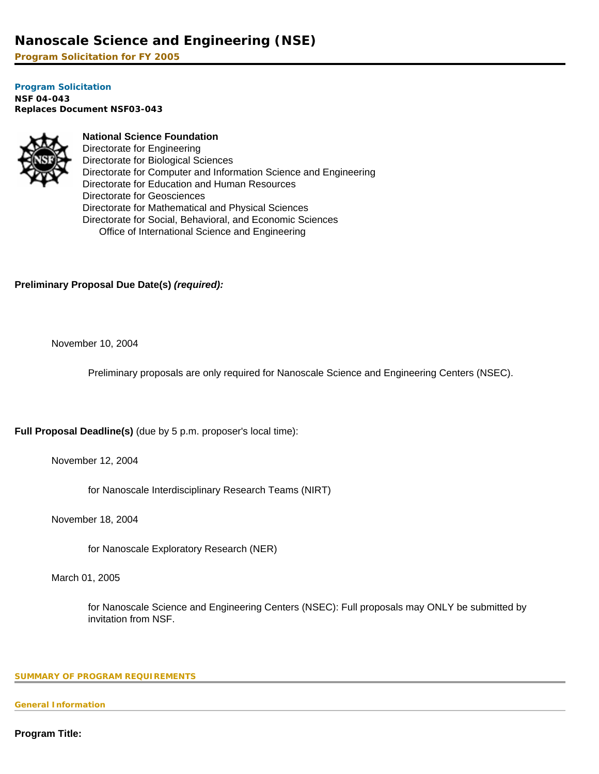# **Nanoscale Science and Engineering (NSE)**

**Program Solicitation for FY 2005**

**[Program Solicitation](#page-3-0)  NSF 04-043**  *Replaces Document* **NSF03-043** 



## **National Science Foundation**

Directorate for Engineering Directorate for Biological Sciences Directorate for Computer and Information Science and Engineering Directorate for Education and Human Resources Directorate for Geosciences Directorate for Mathematical and Physical Sciences Directorate for Social, Behavioral, and Economic Sciences Office of International Science and Engineering

## **Preliminary Proposal Due Date(s)** *(required):*

November 10, 2004

Preliminary proposals are only required for Nanoscale Science and Engineering Centers (NSEC).

**Full Proposal Deadline(s)** (due by 5 p.m. proposer's local time):

November 12, 2004

for Nanoscale Interdisciplinary Research Teams (NIRT)

November 18, 2004

for Nanoscale Exploratory Research (NER)

March 01, 2005

for Nanoscale Science and Engineering Centers (NSEC): Full proposals may ONLY be submitted by invitation from NSF.

#### <span id="page-0-0"></span>**SUMMARY OF PROGRAM REQUIREMENTS**

**General Information**

**Program Title:**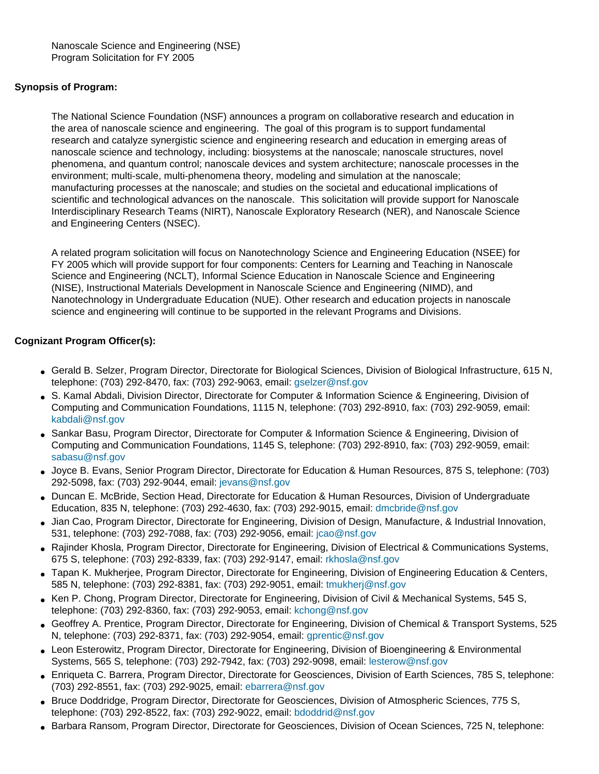## **Synopsis of Program:**

The National Science Foundation (NSF) announces a program on collaborative research and education in the area of nanoscale science and engineering. The goal of this program is to support fundamental research and catalyze synergistic science and engineering research and education in emerging areas of nanoscale science and technology, including: biosystems at the nanoscale; nanoscale structures, novel phenomena, and quantum control; nanoscale devices and system architecture; nanoscale processes in the environment; multi-scale, multi-phenomena theory, modeling and simulation at the nanoscale; manufacturing processes at the nanoscale; and studies on the societal and educational implications of scientific and technological advances on the nanoscale. This solicitation will provide support for Nanoscale Interdisciplinary Research Teams (NIRT), Nanoscale Exploratory Research (NER), and Nanoscale Science and Engineering Centers (NSEC).

A related program solicitation will focus on Nanotechnology Science and Engineering Education (NSEE) for FY 2005 which will provide support for four components: Centers for Learning and Teaching in Nanoscale Science and Engineering (NCLT), Informal Science Education in Nanoscale Science and Engineering (NISE), Instructional Materials Development in Nanoscale Science and Engineering (NIMD), and Nanotechnology in Undergraduate Education (NUE). Other research and education projects in nanoscale science and engineering will continue to be supported in the relevant Programs and Divisions.

## **Cognizant Program Officer(s):**

- Gerald B. Selzer, Program Director, Directorate for Biological Sciences, Division of Biological Infrastructure, 615 N, telephone: (703) 292-8470, fax: (703) 292-9063, email: [gselzer@nsf.gov](mailto:gselzer@nsf.gov)
- S. Kamal Abdali, Division Director, Directorate for Computer & Information Science & Engineering, Division of Computing and Communication Foundations, 1115 N, telephone: (703) 292-8910, fax: (703) 292-9059, email: [kabdali@nsf.gov](mailto:kabdali@nsf.gov)
- Sankar Basu, Program Director, Directorate for Computer & Information Science & Engineering, Division of Computing and Communication Foundations, 1145 S, telephone: (703) 292-8910, fax: (703) 292-9059, email: [sabasu@nsf.gov](mailto:sabasu@nsf.gov)
- Joyce B. Evans, Senior Program Director, Directorate for Education & Human Resources, 875 S, telephone: (703) 292-5098, fax: (703) 292-9044, email: [jevans@nsf.gov](mailto:jevans@nsf.gov)
- Duncan E. McBride, Section Head, Directorate for Education & Human Resources, Division of Undergraduate Education, 835 N, telephone: (703) 292-4630, fax: (703) 292-9015, email: [dmcbride@nsf.gov](mailto:dmcbride@nsf.gov)
- Jian Cao, Program Director, Directorate for Engineering, Division of Design, Manufacture, & Industrial Innovation, 531, telephone: (703) 292-7088, fax: (703) 292-9056, email: [jcao@nsf.gov](mailto:jcao@nsf.gov)
- Rajinder Khosla, Program Director, Directorate for Engineering, Division of Electrical & Communications Systems, 675 S, telephone: (703) 292-8339, fax: (703) 292-9147, email: [rkhosla@nsf.gov](mailto:rkhosla@nsf.gov)
- Tapan K. Mukherjee, Program Director, Directorate for Engineering, Division of Engineering Education & Centers, 585 N, telephone: (703) 292-8381, fax: (703) 292-9051, email: [tmukherj@nsf.gov](mailto:tmukherj@nsf.gov)
- Ken P. Chong, Program Director, Directorate for Engineering, Division of Civil & Mechanical Systems, 545 S, telephone: (703) 292-8360, fax: (703) 292-9053, email: [kchong@nsf.gov](mailto:kchong@nsf.gov)
- Geoffrey A. Prentice, Program Director, Directorate for Engineering, Division of Chemical & Transport Systems, 525 N, telephone: (703) 292-8371, fax: (703) 292-9054, email: [gprentic@nsf.gov](mailto:gprentic@nsf.gov)
- Leon Esterowitz, Program Director, Directorate for Engineering, Division of Bioengineering & Environmental Systems, 565 S, telephone: (703) 292-7942, fax: (703) 292-9098, email: [lesterow@nsf.gov](mailto:lesterow@nsf.gov)
- Enriqueta C. Barrera, Program Director, Directorate for Geosciences, Division of Earth Sciences, 785 S, telephone: (703) 292-8551, fax: (703) 292-9025, email: [ebarrera@nsf.gov](mailto:ebarrera@nsf.gov)
- Bruce Doddridge, Program Director, Directorate for Geosciences, Division of Atmospheric Sciences, 775 S, telephone: (703) 292-8522, fax: (703) 292-9022, email: [bdoddrid@nsf.gov](mailto:bdoddrid@nsf.gov)
- Barbara Ransom, Program Director, Directorate for Geosciences, Division of Ocean Sciences, 725 N, telephone: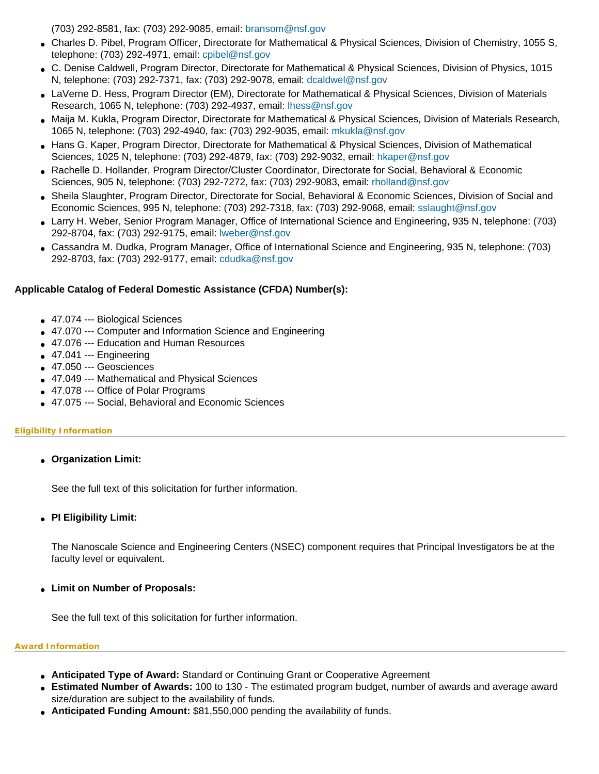(703) 292-8581, fax: (703) 292-9085, email: [bransom@nsf.gov](mailto:bransom@nsf.gov)

- Charles D. Pibel, Program Officer, Directorate for Mathematical & Physical Sciences, Division of Chemistry, 1055 S, telephone: (703) 292-4971, email: [cpibel@nsf.gov](mailto:cpibel@nsf.gov)
- C. Denise Caldwell, Program Director, Directorate for Mathematical & Physical Sciences, Division of Physics, 1015 N, telephone: (703) 292-7371, fax: (703) 292-9078, email: [dcaldwel@nsf.gov](mailto:dcaldwel@nsf.gov)
- LaVerne D. Hess, Program Director (EM), Directorate for Mathematical & Physical Sciences, Division of Materials Research, 1065 N, telephone: (703) 292-4937, email: [lhess@nsf.gov](mailto:lhess@nsf.gov)
- Maija M. Kukla, Program Director, Directorate for Mathematical & Physical Sciences, Division of Materials Research, 1065 N, telephone: (703) 292-4940, fax: (703) 292-9035, email: [mkukla@nsf.gov](mailto:mkukla@nsf.gov)
- Hans G. Kaper, Program Director, Directorate for Mathematical & Physical Sciences, Division of Mathematical Sciences, 1025 N, telephone: (703) 292-4879, fax: (703) 292-9032, email: [hkaper@nsf.gov](mailto:hkaper@nsf.gov)
- Rachelle D. Hollander, Program Director/Cluster Coordinator, Directorate for Social, Behavioral & Economic Sciences, 905 N, telephone: (703) 292-7272, fax: (703) 292-9083, email: [rholland@nsf.gov](mailto:rholland@nsf.gov)
- Sheila Slaughter, Program Director, Directorate for Social, Behavioral & Economic Sciences, Division of Social and Economic Sciences, 995 N, telephone: (703) 292-7318, fax: (703) 292-9068, email: [sslaught@nsf.gov](mailto:sslaught@nsf.gov)
- Larry H. Weber, Senior Program Manager, Office of International Science and Engineering, 935 N, telephone: (703) 292-8704, fax: (703) 292-9175, email: [lweber@nsf.gov](mailto:lweber@nsf.gov)
- Cassandra M. Dudka, Program Manager, Office of International Science and Engineering, 935 N, telephone: (703) 292-8703, fax: (703) 292-9177, email: [cdudka@nsf.gov](mailto:cdudka@nsf.gov)

## **Applicable Catalog of Federal Domestic Assistance (CFDA) Number(s):**

- 47.074 --- Biological Sciences
- 47.070 --- Computer and Information Science and Engineering
- 47.076 --- Education and Human Resources
- $47.041 --$  Engineering
- 47.050 --- Geosciences
- 47.049 --- Mathematical and Physical Sciences
- 47.078 --- Office of Polar Programs
- 47.075 --- Social, Behavioral and Economic Sciences

#### **Eligibility Information**

● **Organization Limit:** 

See the full text of this solicitation for further information.

● **PI Eligibility Limit:** 

The Nanoscale Science and Engineering Centers (NSEC) component requires that Principal Investigators be at the faculty level or equivalent.

#### ● **Limit on Number of Proposals:**

See the full text of this solicitation for further information.

#### **Award Information**

- **Anticipated Type of Award:** Standard or Continuing Grant or Cooperative Agreement
- **Estimated Number of Awards:** 100 to 130 The estimated program budget, number of awards and average award size/duration are subject to the availability of funds.
- **Anticipated Funding Amount:** \$81,550,000 pending the availability of funds.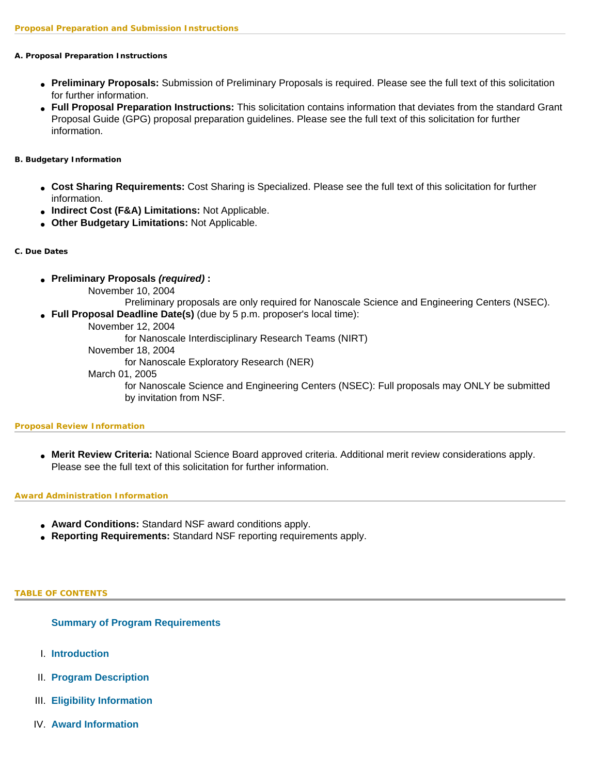#### **A. Proposal Preparation Instructions**

- **Preliminary Proposals:** Submission of Preliminary Proposals is required. Please see the full text of this solicitation for further information.
- **Full Proposal Preparation Instructions:** This solicitation contains information that deviates from the standard Grant Proposal Guide (GPG) proposal preparation guidelines. Please see the full text of this solicitation for further information.

#### **B. Budgetary Information**

- **Cost Sharing Requirements:** Cost Sharing is Specialized. Please see the full text of this solicitation for further information.
- **Indirect Cost (F&A) Limitations:** Not Applicable.
- **Other Budgetary Limitations:** Not Applicable.

#### **C. Due Dates**

- **Preliminary Proposals** *(required)* **:**
	- November 10, 2004

Preliminary proposals are only required for Nanoscale Science and Engineering Centers (NSEC).

- **Full Proposal Deadline Date(s)** (due by 5 p.m. proposer's local time):
	- November 12, 2004

for Nanoscale Interdisciplinary Research Teams (NIRT)

November 18, 2004

for Nanoscale Exploratory Research (NER)

March 01, 2005

for Nanoscale Science and Engineering Centers (NSEC): Full proposals may ONLY be submitted by invitation from NSF.

#### **Proposal Review Information**

● **Merit Review Criteria:** National Science Board approved criteria. Additional merit review considerations apply. Please see the full text of this solicitation for further information.

#### **Award Administration Information**

- **Award Conditions:** Standard NSF award conditions apply.
- **Reporting Requirements:** Standard NSF reporting requirements apply.

#### <span id="page-3-0"></span>**TABLE OF CONTENTS**

#### **[Summary of Program Requirements](#page-0-0)**

- I. **[Introduction](#page-4-0)**
- II. **[Program Description](#page-5-0)**
- III. **[Eligibility Information](#page-11-0)**
- IV. **[Award Information](#page-13-0)**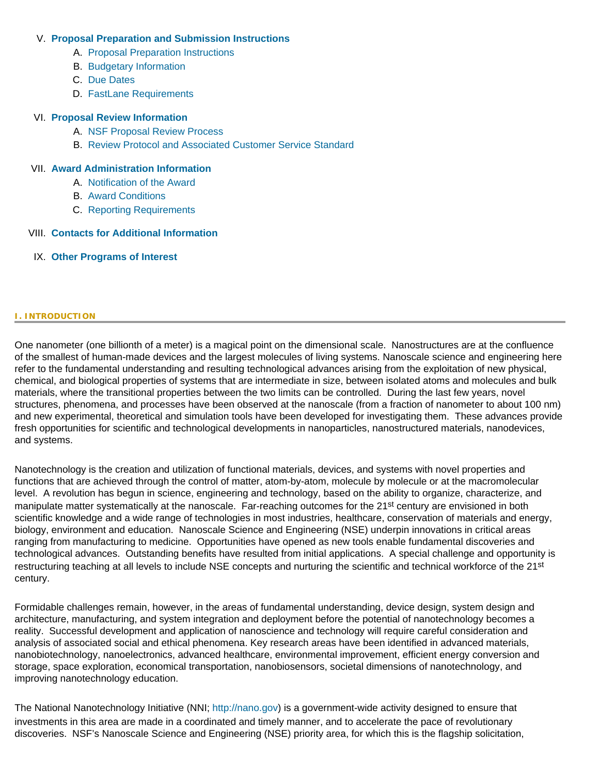### V. **[Proposal Preparation and Submission Instructions](#page-13-1)**

- A. [Proposal Preparation Instructions](#page-13-1)
- B. [Budgetary Information](#page-20-0)
- C. [Due Dates](#page-20-1)
- D. [FastLane Requirements](#page-21-0)

#### VI. **[Proposal Review Information](#page-21-1)**

- A. [NSF Proposal Review Process](#page-21-2)
- B. [Review Protocol and Associated Customer Service Standard](#page-24-0)

### VII. **[Award Administration Information](#page-24-1)**

- A. [Notification of the Award](#page-24-2)
- B. [Award Conditions](#page-24-3)
- C. [Reporting Requirements](#page-25-0)

### VIII. **[Contacts for Additional Information](#page-25-1)**

<span id="page-4-0"></span>IX. **[Other Programs of Interest](#page-26-0)**

#### **I. INTRODUCTION**

One nanometer (one billionth of a meter) is a magical point on the dimensional scale. Nanostructures are at the confluence of the smallest of human-made devices and the largest molecules of living systems. Nanoscale science and engineering here refer to the fundamental understanding and resulting technological advances arising from the exploitation of new physical, chemical, and biological properties of systems that are intermediate in size, between isolated atoms and molecules and bulk materials, where the transitional properties between the two limits can be controlled. During the last few years, novel structures, phenomena, and processes have been observed at the nanoscale (from a fraction of nanometer to about 100 nm) and new experimental, theoretical and simulation tools have been developed for investigating them. These advances provide fresh opportunities for scientific and technological developments in nanoparticles, nanostructured materials, nanodevices, and systems.

Nanotechnology is the creation and utilization of functional materials, devices, and systems with novel properties and functions that are achieved through the control of matter, atom-by-atom, molecule by molecule or at the macromolecular level. A revolution has begun in science, engineering and technology, based on the ability to organize, characterize, and manipulate matter systematically at the nanoscale. Far-reaching outcomes for the 21<sup>st</sup> century are envisioned in both scientific knowledge and a wide range of technologies in most industries, healthcare, conservation of materials and energy, biology, environment and education. Nanoscale Science and Engineering (NSE) underpin innovations in critical areas ranging from manufacturing to medicine. Opportunities have opened as new tools enable fundamental discoveries and technological advances. Outstanding benefits have resulted from initial applications. A special challenge and opportunity is restructuring teaching at all levels to include NSE concepts and nurturing the scientific and technical workforce of the 21<sup>st</sup> century.

Formidable challenges remain, however, in the areas of fundamental understanding, device design, system design and architecture, manufacturing, and system integration and deployment before the potential of nanotechnology becomes a reality. Successful development and application of nanoscience and technology will require careful consideration and analysis of associated social and ethical phenomena. Key research areas have been identified in advanced materials, nanobiotechnology, nanoelectronics, advanced healthcare, environmental improvement, efficient energy conversion and storage, space exploration, economical transportation, nanobiosensors, societal dimensions of nanotechnology, and improving nanotechnology education.

The National Nanotechnology Initiative (NNI; [http://nano.gov](http://nano.gov/)) is a government-wide activity designed to ensure that investments in this area are made in a coordinated and timely manner, and to accelerate the pace of revolutionary discoveries. NSF's Nanoscale Science and Engineering (NSE) priority area, for which this is the flagship solicitation,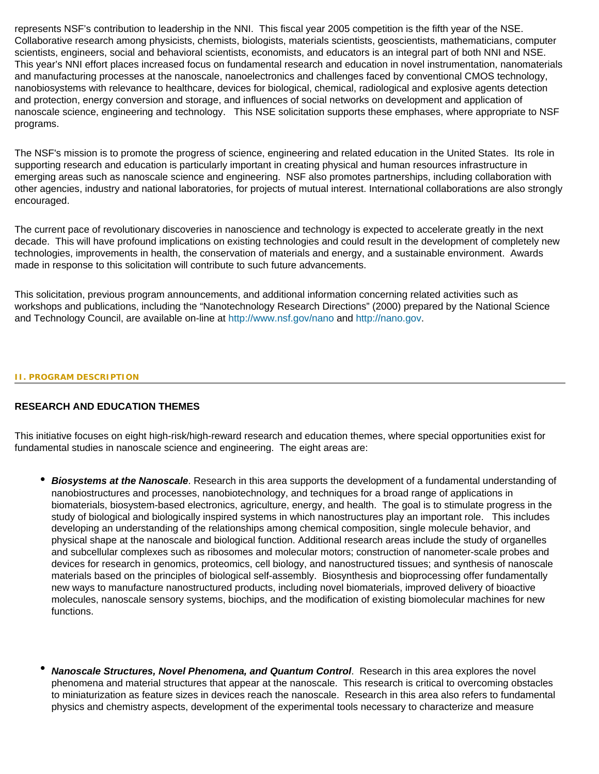represents NSF's contribution to leadership in the NNI. This fiscal year 2005 competition is the fifth year of the NSE. Collaborative research among physicists, chemists, biologists, materials scientists, geoscientists, mathematicians, computer scientists, engineers, social and behavioral scientists, economists, and educators is an integral part of both NNI and NSE. This year's NNI effort places increased focus on fundamental research and education in novel instrumentation, nanomaterials and manufacturing processes at the nanoscale, nanoelectronics and challenges faced by conventional CMOS technology, nanobiosystems with relevance to healthcare, devices for biological, chemical, radiological and explosive agents detection and protection, energy conversion and storage, and influences of social networks on development and application of nanoscale science, engineering and technology. This NSE solicitation supports these emphases, where appropriate to NSF programs.

The NSF's mission is to promote the progress of science, engineering and related education in the United States. Its role in supporting research and education is particularly important in creating physical and human resources infrastructure in emerging areas such as nanoscale science and engineering. NSF also promotes partnerships, including collaboration with other agencies, industry and national laboratories, for projects of mutual interest. International collaborations are also strongly encouraged.

The current pace of revolutionary discoveries in nanoscience and technology is expected to accelerate greatly in the next decade. This will have profound implications on existing technologies and could result in the development of completely new technologies, improvements in health, the conservation of materials and energy, and a sustainable environment. Awards made in response to this solicitation will contribute to such future advancements.

This solicitation, previous program announcements, and additional information concerning related activities such as workshops and publications, including the "Nanotechnology Research Directions" (2000) prepared by the National Science and Technology Council, are available on-line at <http://www.nsf.gov/nano> and [http://nano.gov.](http://nano.gov/)

#### <span id="page-5-0"></span>**II. PROGRAM DESCRIPTION**

## **RESEARCH AND EDUCATION THEMES**

This initiative focuses on eight high-risk/high-reward research and education themes, where special opportunities exist for fundamental studies in nanoscale science and engineering. The eight areas are:

- **Biosystems at the Nanoscale**. Research in this area supports the development of a fundamental understanding of nanobiostructures and processes, nanobiotechnology, and techniques for a broad range of applications in biomaterials, biosystem-based electronics, agriculture, energy, and health. The goal is to stimulate progress in the study of biological and biologically inspired systems in which nanostructures play an important role. This includes developing an understanding of the relationships among chemical composition, single molecule behavior, and physical shape at the nanoscale and biological function. Additional research areas include the study of organelles and subcellular complexes such as ribosomes and molecular motors; construction of nanometer-scale probes and devices for research in genomics, proteomics, cell biology, and nanostructured tissues; and synthesis of nanoscale materials based on the principles of biological self-assembly. Biosynthesis and bioprocessing offer fundamentally new ways to manufacture nanostructured products, including novel biomaterials, improved delivery of bioactive molecules, nanoscale sensory systems, biochips, and the modification of existing biomolecular machines for new functions.
- *Nanoscale Structures, Novel Phenomena, and Quantum Control*. Research in this area explores the novel phenomena and material structures that appear at the nanoscale. This research is critical to overcoming obstacles to miniaturization as feature sizes in devices reach the nanoscale. Research in this area also refers to fundamental physics and chemistry aspects, development of the experimental tools necessary to characterize and measure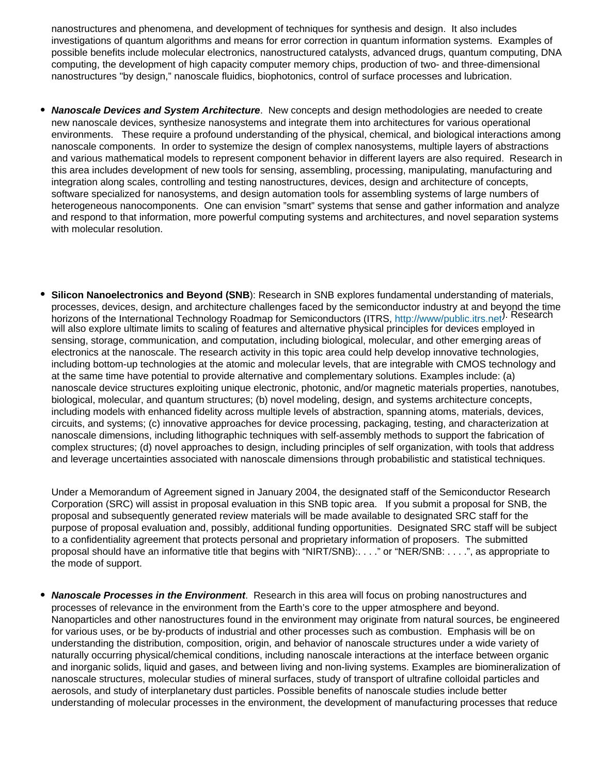nanostructures and phenomena, and development of techniques for synthesis and design. It also includes investigations of quantum algorithms and means for error correction in quantum information systems. Examples of possible benefits include molecular electronics, nanostructured catalysts, advanced drugs, quantum computing, DNA computing, the development of high capacity computer memory chips, production of two- and three-dimensional nanostructures "by design," nanoscale fluidics, biophotonics, control of surface processes and lubrication.

- **Nanoscale Devices and System Architecture**. New concepts and design methodologies are needed to create new nanoscale devices, synthesize nanosystems and integrate them into architectures for various operational environments. These require a profound understanding of the physical, chemical, and biological interactions among nanoscale components. In order to systemize the design of complex nanosystems, multiple layers of abstractions and various mathematical models to represent component behavior in different layers are also required. Research in this area includes development of new tools for sensing, assembling, processing, manipulating, manufacturing and integration along scales, controlling and testing nanostructures, devices, design and architecture of concepts, software specialized for nanosystems, and design automation tools for assembling systems of large numbers of heterogeneous nanocomponents. One can envision "smart" systems that sense and gather information and analyze and respond to that information, more powerful computing systems and architectures, and novel separation systems with molecular resolution.
- **Silicon Nanoelectronics and Beyond (SNB)**: Research in SNB explores fundamental understanding of materials, processes, devices, design, and architecture challenges faced by the semiconductor industry at and beyond the time horizons of the International Technology Roadmap for Semiconductors (ITRS, <http://www/public.itrs.net>). Research will also explore ultimate limits to scaling of features and alternative physical principles for devices employed in sensing, storage, communication, and computation, including biological, molecular, and other emerging areas of electronics at the nanoscale. The research activity in this topic area could help develop innovative technologies, including bottom-up technologies at the atomic and molecular levels, that are integrable with CMOS technology and at the same time have potential to provide alternative and complementary solutions. Examples include: (a) nanoscale device structures exploiting unique electronic, photonic, and/or magnetic materials properties, nanotubes, biological, molecular, and quantum structures; (b) novel modeling, design, and systems architecture concepts, including models with enhanced fidelity across multiple levels of abstraction, spanning atoms, materials, devices, circuits, and systems; (c) innovative approaches for device processing, packaging, testing, and characterization at nanoscale dimensions, including lithographic techniques with self-assembly methods to support the fabrication of complex structures; (d) novel approaches to design, including principles of self organization, with tools that address and leverage uncertainties associated with nanoscale dimensions through probabilistic and statistical techniques.

Under a Memorandum of Agreement signed in January 2004, the designated staff of the Semiconductor Research Corporation (SRC) will assist in proposal evaluation in this SNB topic area. If you submit a proposal for SNB, the proposal and subsequently generated review materials will be made available to designated SRC staff for the purpose of proposal evaluation and, possibly, additional funding opportunities. Designated SRC staff will be subject to a confidentiality agreement that protects personal and proprietary information of proposers. The submitted proposal should have an informative title that begins with "NIRT/SNB):. . . ." or "NER/SNB: . . . .", as appropriate to the mode of support.

**Nanoscale Processes in the Environment**. Research in this area will focus on probing nanostructures and processes of relevance in the environment from the Earth's core to the upper atmosphere and beyond. Nanoparticles and other nanostructures found in the environment may originate from natural sources, be engineered for various uses, or be by-products of industrial and other processes such as combustion. Emphasis will be on understanding the distribution, composition, origin, and behavior of nanoscale structures under a wide variety of naturally occurring physical/chemical conditions, including nanoscale interactions at the interface between organic and inorganic solids, liquid and gases, and between living and non-living systems. Examples are biomineralization of nanoscale structures, molecular studies of mineral surfaces, study of transport of ultrafine colloidal particles and aerosols, and study of interplanetary dust particles. Possible benefits of nanoscale studies include better understanding of molecular processes in the environment, the development of manufacturing processes that reduce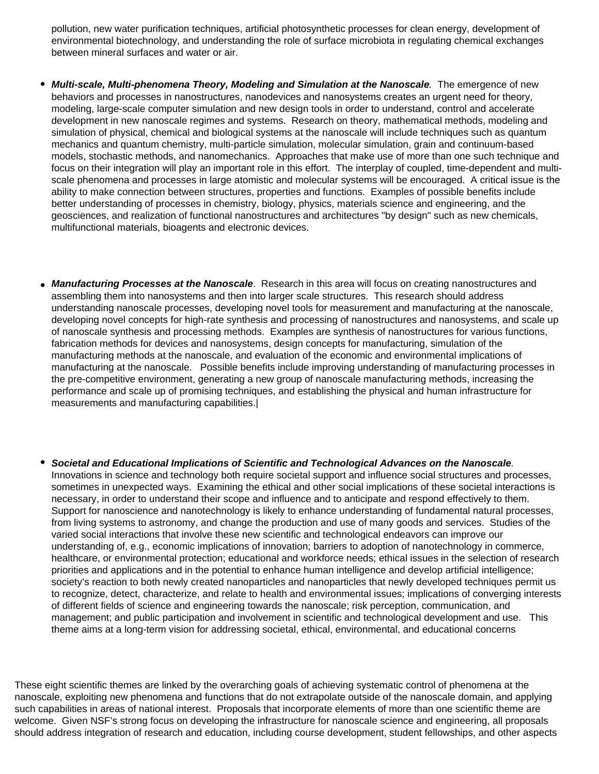pollution, new water purification techniques, artificial photosynthetic processes for clean energy, development of environmental biotechnology, and understanding the role of surface microbiota in regulating chemical exchanges between mineral surfaces and water or air.

- *Multi-scale, Multi-phenomena Theory, Modeling and Simulation at the Nanoscale.* **The emergence of new** behaviors and processes in nanostructures, nanodevices and nanosystems creates an urgent need for theory, modeling, large-scale computer simulation and new design tools in order to understand, control and accelerate development in new nanoscale regimes and systems. Research on theory, mathematical methods, modeling and simulation of physical, chemical and biological systems at the nanoscale will include techniques such as quantum mechanics and quantum chemistry, multi-particle simulation, molecular simulation, grain and continuum-based models, stochastic methods, and nanomechanics. Approaches that make use of more than one such technique and focus on their integration will play an important role in this effort. The interplay of coupled, time-dependent and multiscale phenomena and processes in large atomistic and molecular systems will be encouraged. A critical issue is the ability to make connection between structures, properties and functions. Examples of possible benefits include better understanding of processes in chemistry, biology, physics, materials science and engineering, and the geosciences, and realization of functional nanostructures and architectures "by design" such as new chemicals, multifunctional materials, bioagents and electronic devices.
- *Manufacturing Processes at the Nanoscale*. Research in this area will focus on creating nanostructures and assembling them into nanosystems and then into larger scale structures. This research should address understanding nanoscale processes, developing novel tools for measurement and manufacturing at the nanoscale, developing novel concepts for high-rate synthesis and processing of nanostructures and nanosystems, and scale up of nanoscale synthesis and processing methods. Examples are synthesis of nanostructures for various functions, fabrication methods for devices and nanosystems, design concepts for manufacturing, simulation of the manufacturing methods at the nanoscale, and evaluation of the economic and environmental implications of manufacturing at the nanoscale. Possible benefits include improving understanding of manufacturing processes in the pre-competitive environment, generating a new group of nanoscale manufacturing methods, increasing the performance and scale up of promising techniques, and establishing the physical and human infrastructure for measurements and manufacturing capabilities.|
- *Societal and Educational Implications of Scientific and Technological Advances on the Nanoscale.*  Innovations in science and technology both require societal support and influence social structures and processes, sometimes in unexpected ways. Examining the ethical and other social implications of these societal interactions is necessary, in order to understand their scope and influence and to anticipate and respond effectively to them. Support for nanoscience and nanotechnology is likely to enhance understanding of fundamental natural processes, from living systems to astronomy, and change the production and use of many goods and services. Studies of the varied social interactions that involve these new scientific and technological endeavors can improve our understanding of, e.g., economic implications of innovation; barriers to adoption of nanotechnology in commerce, healthcare, or environmental protection; educational and workforce needs; ethical issues in the selection of research priorities and applications and in the potential to enhance human intelligence and develop artificial intelligence; society's reaction to both newly created nanoparticles and nanoparticles that newly developed techniques permit us to recognize, detect, characterize, and relate to health and environmental issues; implications of converging interests of different fields of science and engineering towards the nanoscale; risk perception, communication, and management; and public participation and involvement in scientific and technological development and use. This theme aims at a long-term vision for addressing societal, ethical, environmental, and educational concerns

These eight scientific themes are linked by the overarching goals of achieving systematic control of phenomena at the nanoscale, exploiting new phenomena and functions that do not extrapolate outside of the nanoscale domain, and applying such capabilities in areas of national interest. Proposals that incorporate elements of more than one scientific theme are welcome. Given NSF's strong focus on developing the infrastructure for nanoscale science and engineering, all proposals should address integration of research and education, including course development, student fellowships, and other aspects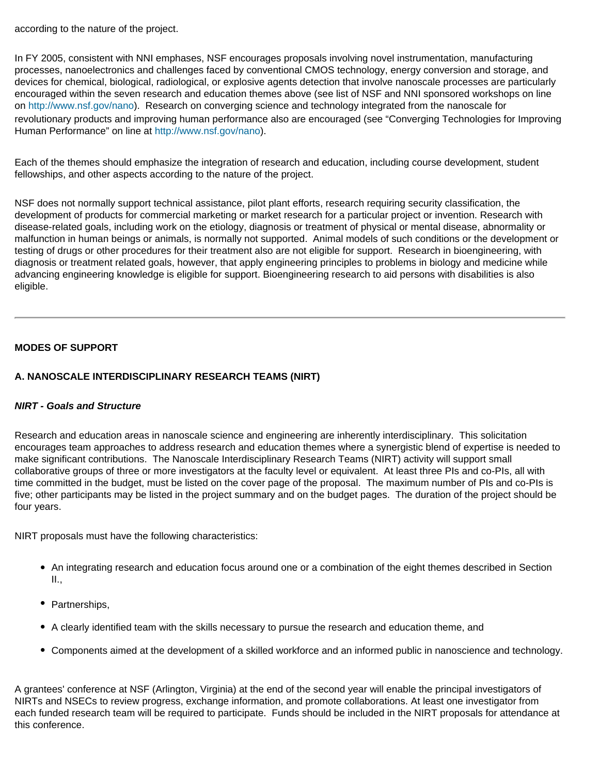according to the nature of the project.

In FY 2005, consistent with NNI emphases, NSF encourages proposals involving novel instrumentation, manufacturing processes, nanoelectronics and challenges faced by conventional CMOS technology, energy conversion and storage, and devices for chemical, biological, radiological, or explosive agents detection that involve nanoscale processes are particularly encouraged within the seven research and education themes above (see list of NSF and NNI sponsored workshops on line on [http://www.nsf.gov/nano\)](http://www.nsf.gov/nano). Research on converging science and technology integrated from the nanoscale for revolutionary products and improving human performance also are encouraged (see "Converging Technologies for Improving Human Performance" on line at<http://www.nsf.gov/nano>).

Each of the themes should emphasize the integration of research and education, including course development, student fellowships, and other aspects according to the nature of the project.

NSF does not normally support technical assistance, pilot plant efforts, research requiring security classification, the development of products for commercial marketing or market research for a particular project or invention. Research with disease-related goals, including work on the etiology, diagnosis or treatment of physical or mental disease, abnormality or malfunction in human beings or animals, is normally not supported. Animal models of such conditions or the development or testing of drugs or other procedures for their treatment also are not eligible for support. Research in bioengineering, with diagnosis or treatment related goals, however, that apply engineering principles to problems in biology and medicine while advancing engineering knowledge is eligible for support. Bioengineering research to aid persons with disabilities is also eligible.

## **MODES OF SUPPORT**

## **A. NANOSCALE INTERDISCIPLINARY RESEARCH TEAMS (NIRT)**

## *NIRT - Goals and Structure*

Research and education areas in nanoscale science and engineering are inherently interdisciplinary. This solicitation encourages team approaches to address research and education themes where a synergistic blend of expertise is needed to make significant contributions. The Nanoscale Interdisciplinary Research Teams (NIRT) activity will support small collaborative groups of three or more investigators at the faculty level or equivalent. At least three PIs and co-PIs, all with time committed in the budget, must be listed on the cover page of the proposal. The maximum number of PIs and co-PIs is five; other participants may be listed in the project summary and on the budget pages. The duration of the project should be four years.

NIRT proposals must have the following characteristics:

- An integrating research and education focus around one or a combination of the eight themes described in Section II.,
- Partnerships,
- A clearly identified team with the skills necessary to pursue the research and education theme, and
- Components aimed at the development of a skilled workforce and an informed public in nanoscience and technology.

A grantees' conference at NSF (Arlington, Virginia) at the end of the second year will enable the principal investigators of NIRTs and NSECs to review progress, exchange information, and promote collaborations. At least one investigator from each funded research team will be required to participate. Funds should be included in the NIRT proposals for attendance at this conference.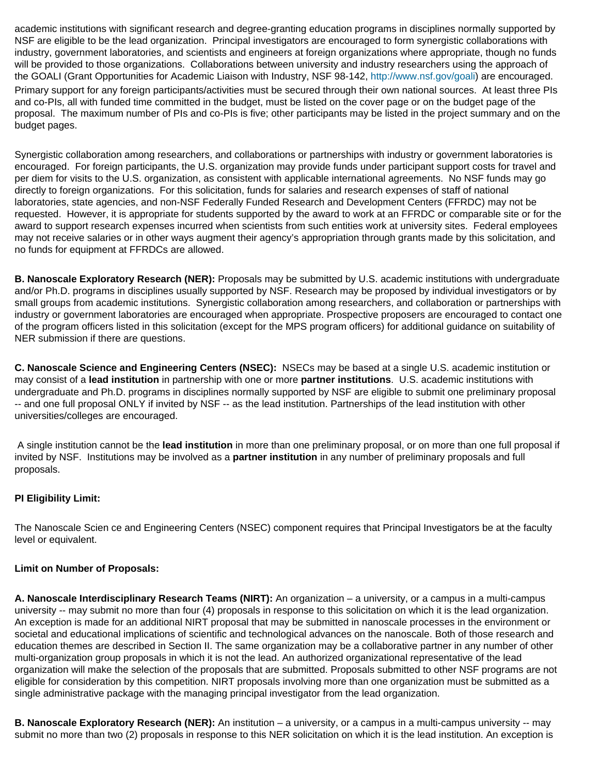academic institutions with significant research and degree-granting education programs in disciplines normally supported by NSF are eligible to be the lead organization. Principal investigators are encouraged to form synergistic collaborations with industry, government laboratories, and scientists and engineers at foreign organizations where appropriate, though no funds will be provided to those organizations. Collaborations between university and industry researchers using the approach of the GOALI (Grant Opportunities for Academic Liaison with Industry, NSF 98-142, [http://www.nsf.gov/goali\)](http://www.nsf.gov/goali) are encouraged. Primary support for any foreign participants/activities must be secured through their own national sources. At least three PIs and co-PIs, all with funded time committed in the budget, must be listed on the cover page or on the budget page of the proposal. The maximum number of PIs and co-PIs is five; other participants may be listed in the project summary and on the budget pages.

Synergistic collaboration among researchers, and collaborations or partnerships with industry or government laboratories is encouraged. For foreign participants, the U.S. organization may provide funds under participant support costs for travel and per diem for visits to the U.S. organization, as consistent with applicable international agreements. No NSF funds may go directly to foreign organizations. For this solicitation, funds for salaries and research expenses of staff of national laboratories, state agencies, and non-NSF Federally Funded Research and Development Centers (FFRDC) may not be requested. However, it is appropriate for students supported by the award to work at an FFRDC or comparable site or for the award to support research expenses incurred when scientists from such entities work at university sites. Federal employees may not receive salaries or in other ways augment their agency's appropriation through grants made by this solicitation, and no funds for equipment at FFRDCs are allowed.

**B. Nanoscale Exploratory Research (NER):** Proposals may be submitted by U.S. academic institutions with undergraduate and/or Ph.D. programs in disciplines usually supported by NSF. Research may be proposed by individual investigators or by small groups from academic institutions. Synergistic collaboration among researchers, and collaboration or partnerships with industry or government laboratories are encouraged when appropriate. Prospective proposers are encouraged to contact one of the program officers listed in this solicitation (except for the MPS program officers) for additional guidance on suitability of NER submission if there are questions.

**C. Nanoscale Science and Engineering Centers (NSEC):** NSECs may be based at a single U.S. academic institution or may consist of a **lead institution** in partnership with one or more **partner institutions**. U.S. academic institutions with undergraduate and Ph.D. programs in disciplines normally supported by NSF are eligible to submit one preliminary proposal -- and one full proposal ONLY if invited by NSF -- as the lead institution. Partnerships of the lead institution with other universities/colleges are encouraged.

 A single institution cannot be the **lead institution** in more than one preliminary proposal, or on more than one full proposal if invited by NSF. Institutions may be involved as a **partner institution** in any number of preliminary proposals and full proposals.

## **PI Eligibility Limit:**

The Nanoscale Scien ce and Engineering Centers (NSEC) component requires that Principal Investigators be at the faculty level or equivalent.

## **Limit on Number of Proposals:**

**A. Nanoscale Interdisciplinary Research Teams (NIRT):** An organization – a university, or a campus in a multi-campus university -- may submit no more than four (4) proposals in response to this solicitation on which it is the lead organization. An exception is made for an additional NIRT proposal that may be submitted in nanoscale processes in the environment or societal and educational implications of scientific and technological advances on the nanoscale. Both of those research and education themes are described in Section II. The same organization may be a collaborative partner in any number of other multi-organization group proposals in which it is not the lead. An authorized organizational representative of the lead organization will make the selection of the proposals that are submitted. Proposals submitted to other NSF programs are not eligible for consideration by this competition. NIRT proposals involving more than one organization must be submitted as a single administrative package with the managing principal investigator from the lead organization.

**B. Nanoscale Exploratory Research (NER):** An institution – a university, or a campus in a multi-campus university -- may submit no more than two (2) proposals in response to this NER solicitation on which it is the lead institution. An exception is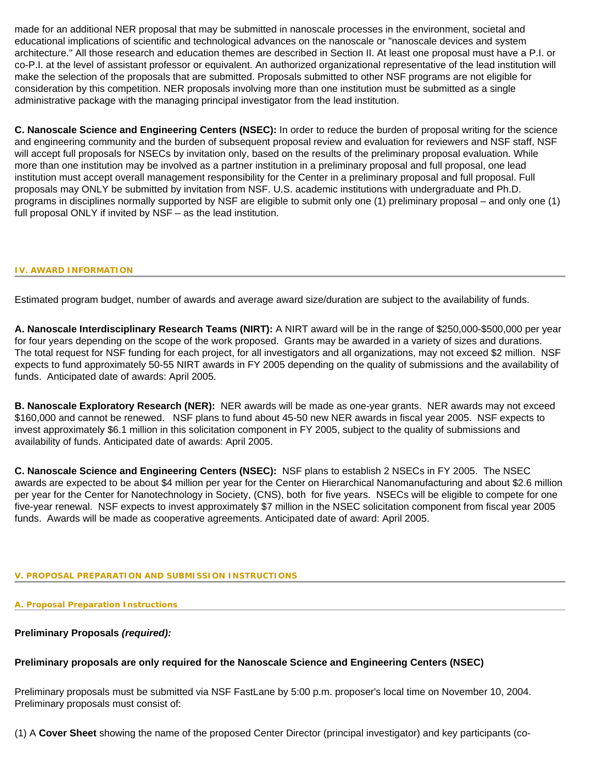made for an additional NER proposal that may be submitted in nanoscale processes in the environment, societal and educational implications of scientific and technological advances on the nanoscale or "nanoscale devices and system architecture." All those research and education themes are described in Section II. At least one proposal must have a P.I. or co-P.I. at the level of assistant professor or equivalent. An authorized organizational representative of the lead institution will make the selection of the proposals that are submitted. Proposals submitted to other NSF programs are not eligible for consideration by this competition. NER proposals involving more than one institution must be submitted as a single administrative package with the managing principal investigator from the lead institution.

**C. Nanoscale Science and Engineering Centers (NSEC):** In order to reduce the burden of proposal writing for the science and engineering community and the burden of subsequent proposal review and evaluation for reviewers and NSF staff, NSF will accept full proposals for NSECs by invitation only, based on the results of the preliminary proposal evaluation. While more than one institution may be involved as a partner institution in a preliminary proposal and full proposal, one lead institution must accept overall management responsibility for the Center in a preliminary proposal and full proposal. Full proposals may ONLY be submitted by invitation from NSF. U.S. academic institutions with undergraduate and Ph.D. programs in disciplines normally supported by NSF are eligible to submit only one (1) preliminary proposal – and only one (1) full proposal ONLY if invited by NSF – as the lead institution.

#### <span id="page-13-0"></span>**IV. AWARD INFORMATION**

Estimated program budget, number of awards and average award size/duration are subject to the availability of funds.

**A. Nanoscale Interdisciplinary Research Teams (NIRT):** A NIRT award will be in the range of \$250,000-\$500,000 per year for four years depending on the scope of the work proposed. Grants may be awarded in a variety of sizes and durations. The total request for NSF funding for each project, for all investigators and all organizations, may not exceed \$2 million. NSF expects to fund approximately 50-55 NIRT awards in FY 2005 depending on the quality of submissions and the availability of funds. Anticipated date of awards: April 2005.

**B. Nanoscale Exploratory Research (NER):** NER awards will be made as one-year grants. NER awards may not exceed \$160,000 and cannot be renewed. NSF plans to fund about 45-50 new NER awards in fiscal year 2005. NSF expects to invest approximately \$6.1 million in this solicitation component in FY 2005, subject to the quality of submissions and availability of funds. Anticipated date of awards: April 2005.

**C. Nanoscale Science and Engineering Centers (NSEC):** NSF plans to establish 2 NSECs in FY 2005. The NSEC awards are expected to be about \$4 million per year for the Center on Hierarchical Nanomanufacturing and about \$2.6 million per year for the Center for Nanotechnology in Society, (CNS), both for five years. NSECs will be eligible to compete for one five-year renewal. NSF expects to invest approximately \$7 million in the NSEC solicitation component from fiscal year 2005 funds. Awards will be made as cooperative agreements. Anticipated date of award: April 2005.

#### <span id="page-13-1"></span>**V. PROPOSAL PREPARATION AND SUBMISSION INSTRUCTIONS**

#### **A. Proposal Preparation Instructions**

#### **Preliminary Proposals** *(required):*

#### **Preliminary proposals are only required for the Nanoscale Science and Engineering Centers (NSEC)**

Preliminary proposals must be submitted via NSF FastLane by 5:00 p.m. proposer's local time on November 10, 2004. Preliminary proposals must consist of:

(1) A **Cover Sheet** showing the name of the proposed Center Director (principal investigator) and key participants (co-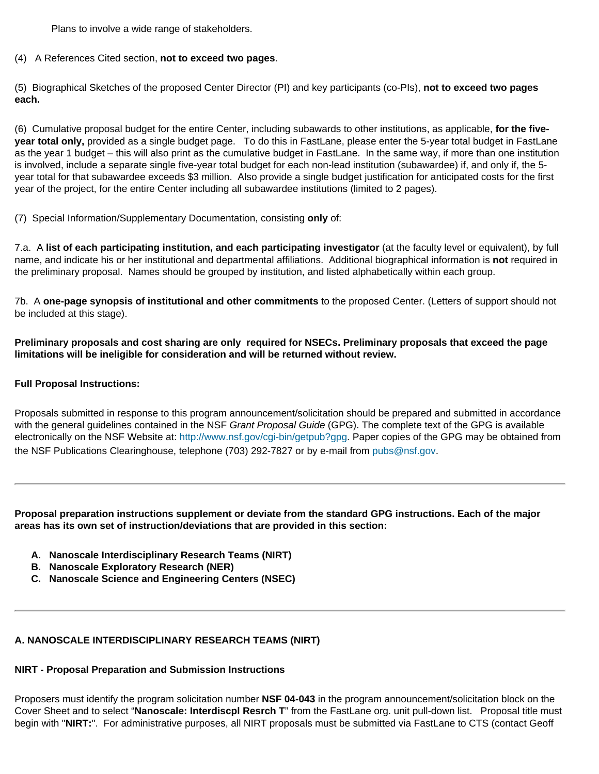Plans to involve a wide range of stakeholders.

(4) A References Cited section, **not to exceed two pages**.

(5) Biographical Sketches of the proposed Center Director (PI) and key participants (co-PIs), **not to exceed two pages each.**

(6) Cumulative proposal budget for the entire Center, including subawards to other institutions, as applicable, **for the fiveyear total only,** provided as a single budget page. To do this in FastLane, please enter the 5-year total budget in FastLane as the year 1 budget – this will also print as the cumulative budget in FastLane. In the same way, if more than one institution is involved, include a separate single five-year total budget for each non-lead institution (subawardee) if, and only if, the 5 year total for that subawardee exceeds \$3 million. Also provide a single budget justification for anticipated costs for the first year of the project, for the entire Center including all subawardee institutions (limited to 2 pages).

(7) Special Information/Supplementary Documentation, consisting **only** of:

7.a. A **list of each participating institution, and each participating investigator** (at the faculty level or equivalent), by full name, and indicate his or her institutional and departmental affiliations. Additional biographical information is **not** required in the preliminary proposal. Names should be grouped by institution, and listed alphabetically within each group.

7b. A **one-page synopsis of institutional and other commitments** to the proposed Center. (Letters of support should not be included at this stage).

**Preliminary proposals and cost sharing are only required for NSECs. Preliminary proposals that exceed the page limitations will be ineligible for consideration and will be returned without review.**

## **Full Proposal Instructions:**

Proposals submitted in response to this program announcement/solicitation should be prepared and submitted in accordance with the general guidelines contained in the NSF *Grant Proposal Guide* (GPG). The complete text of the GPG is available electronically on the NSF Website at: [http://www.nsf.gov/cgi-bin/getpub?gpg.](http://www.nsf.gov/cgi-bin/getpub?gpg) Paper copies of the GPG may be obtained from the NSF Publications Clearinghouse, telephone (703) 292-7827 or by e-mail from [pubs@nsf.gov.](mailto:pubs@nsf.gov)

**Proposal preparation instructions supplement or deviate from the standard GPG instructions. Each of the major areas has its own set of instruction/deviations that are provided in this section:**

- **A. Nanoscale Interdisciplinary Research Teams (NIRT)**
- **B. Nanoscale Exploratory Research (NER)**
- **C. Nanoscale Science and Engineering Centers (NSEC)**

## **A. NANOSCALE INTERDISCIPLINARY RESEARCH TEAMS (NIRT)**

## **NIRT - Proposal Preparation and Submission Instructions**

Proposers must identify the program solicitation number **NSF 04-043** in the program announcement/solicitation block on the Cover Sheet and to select "**Nanoscale: Interdiscpl Resrch T**" from the FastLane org. unit pull-down list. Proposal title must begin with "**NIRT:**". For administrative purposes, all NIRT proposals must be submitted via FastLane to CTS (contact Geoff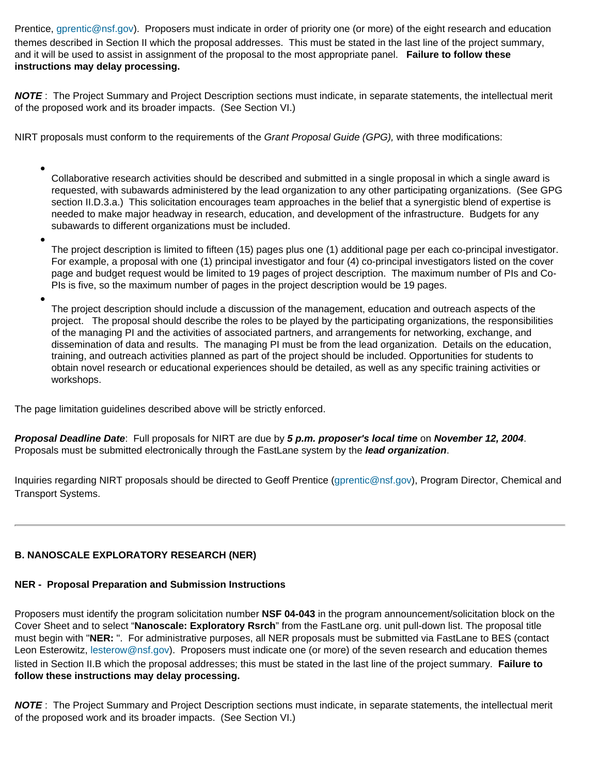Prentice, [gprentic@nsf.gov\)](mailto:gprentic@nsf.gov). Proposers must indicate in order of priority one (or more) of the eight research and education themes described in Section II which the proposal addresses. This must be stated in the last line of the project summary, and it will be used to assist in assignment of the proposal to the most appropriate panel. **Failure to follow these instructions may delay processing.**

*NOTE* : The Project Summary and Project Description sections must indicate, in separate statements, the intellectual merit of the proposed work and its broader impacts. (See Section VI.)

NIRT proposals must conform to the requirements of the *Grant Proposal Guide (GPG),* with three modifications:

- Collaborative research activities should be described and submitted in a single proposal in which a single award is requested, with subawards administered by the lead organization to any other participating organizations. (See GPG section II.D.3.a.) This solicitation encourages team approaches in the belief that a synergistic blend of expertise is needed to make major headway in research, education, and development of the infrastructure. Budgets for any subawards to different organizations must be included.
- The project description is limited to fifteen (15) pages plus one (1) additional page per each co-principal investigator. For example, a proposal with one (1) principal investigator and four (4) co-principal investigators listed on the cover page and budget request would be limited to 19 pages of project description. The maximum number of PIs and Co-PIs is five, so the maximum number of pages in the project description would be 19 pages.
- The project description should include a discussion of the management, education and outreach aspects of the project. The proposal should describe the roles to be played by the participating organizations, the responsibilities of the managing PI and the activities of associated partners, and arrangements for networking, exchange, and dissemination of data and results. The managing PI must be from the lead organization. Details on the education, training, and outreach activities planned as part of the project should be included. Opportunities for students to obtain novel research or educational experiences should be detailed, as well as any specific training activities or workshops.

The page limitation guidelines described above will be strictly enforced.

*Proposal Deadline Date*: Full proposals for NIRT are due by *5 p.m. proposer's local time* on *November 12, 2004*. Proposals must be submitted electronically through the FastLane system by the *lead organization*.

Inquiries regarding NIRT proposals should be directed to Geoff Prentice ([gprentic@nsf.gov\)](mailto:gprentic@nsf.gov), Program Director, Chemical and Transport Systems.

## **B. NANOSCALE EXPLORATORY RESEARCH (NER)**

## **NER - Proposal Preparation and Submission Instructions**

Proposers must identify the program solicitation number **NSF 04-043** in the program announcement/solicitation block on the Cover Sheet and to select "**Nanoscale: Exploratory Rsrch**" from the FastLane org. unit pull-down list. The proposal title must begin with "**NER:** ". For administrative purposes, all NER proposals must be submitted via FastLane to BES (contact Leon Esterowitz, [lesterow@nsf.gov](mailto:lesterow@nsf.gov)). Proposers must indicate one (or more) of the seven research and education themes listed in Section II.B which the proposal addresses; this must be stated in the last line of the project summary. **Failure to follow these instructions may delay processing.**

*NOTE* : The Project Summary and Project Description sections must indicate, in separate statements, the intellectual merit of the proposed work and its broader impacts. (See Section VI.)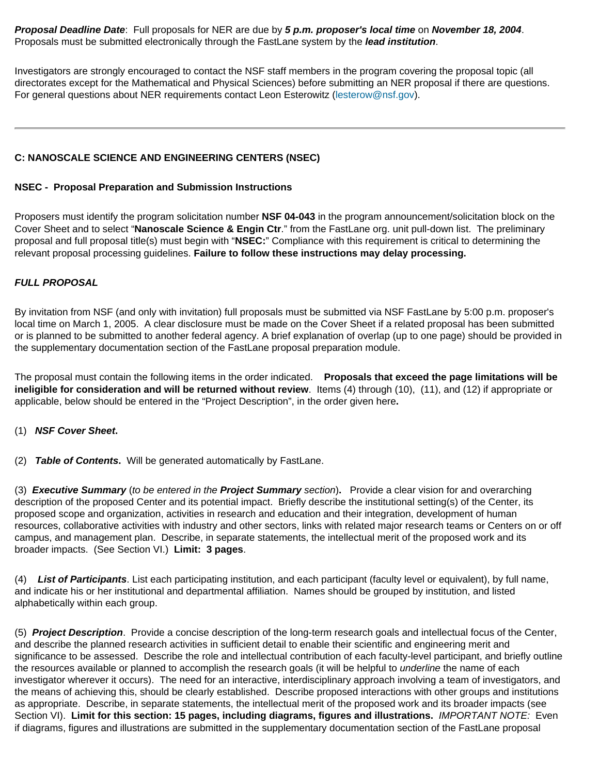*Proposal Deadline Date*: Full proposals for NER are due by *5 p.m. proposer's local time* on *November 18, 2004*. Proposals must be submitted electronically through the FastLane system by the *lead institution*.

Investigators are strongly encouraged to contact the NSF staff members in the program covering the proposal topic (all directorates except for the Mathematical and Physical Sciences) before submitting an NER proposal if there are questions. For general questions about NER requirements contact Leon Esterowitz [\(lesterow@nsf.gov\)](mailto:lesterow@nsf.gov).

## **C: NANOSCALE SCIENCE AND ENGINEERING CENTERS (NSEC)**

### **NSEC - Proposal Preparation and Submission Instructions**

Proposers must identify the program solicitation number **NSF 04-043** in the program announcement/solicitation block on the Cover Sheet and to select "**Nanoscale Science & Engin Ctr**." from the FastLane org. unit pull-down list. The preliminary proposal and full proposal title(s) must begin with "**NSEC:**" Compliance with this requirement is critical to determining the relevant proposal processing guidelines. **Failure to follow these instructions may delay processing.**

## *FULL PROPOSAL*

By invitation from NSF (and only with invitation) full proposals must be submitted via NSF FastLane by 5:00 p.m. proposer's local time on March 1, 2005. A clear disclosure must be made on the Cover Sheet if a related proposal has been submitted or is planned to be submitted to another federal agency. A brief explanation of overlap (up to one page) should be provided in the supplementary documentation section of the FastLane proposal preparation module.

The proposal must contain the following items in the order indicated. **Proposals that exceed the page limitations will be ineligible for consideration and will be returned without review**. Items (4) through (10), (11), and (12) if appropriate or applicable, below should be entered in the "Project Description", in the order given here**.**

(1) *NSF Cover Sheet***.**

(2) *Table of Contents***.** Will be generated automatically by FastLane.

(3) *Executive Summary* (*to be entered in the Project Summary section*)**.** Provide a clear vision for and overarching description of the proposed Center and its potential impact. Briefly describe the institutional setting(s) of the Center, its proposed scope and organization, activities in research and education and their integration, development of human resources, collaborative activities with industry and other sectors, links with related major research teams or Centers on or off campus, and management plan. Describe, in separate statements, the intellectual merit of the proposed work and its broader impacts. (See Section VI.) **Limit: 3 pages**.

(4) *List of Participants*. List each participating institution, and each participant (faculty level or equivalent), by full name, and indicate his or her institutional and departmental affiliation. Names should be grouped by institution, and listed alphabetically within each group.

(5) *Project Description*. Provide a concise description of the long-term research goals and intellectual focus of the Center, and describe the planned research activities in sufficient detail to enable their scientific and engineering merit and significance to be assessed. Describe the role and intellectual contribution of each faculty-level participant, and briefly outline the resources available or planned to accomplish the research goals (it will be helpful to *underline* the name of each investigator wherever it occurs). The need for an interactive, interdisciplinary approach involving a team of investigators, and the means of achieving this, should be clearly established. Describe proposed interactions with other groups and institutions as appropriate. Describe, in separate statements, the intellectual merit of the proposed work and its broader impacts (see Section VI). **Limit for this section: 15 pages, including diagrams, figures and illustrations.** *IMPORTANT NOTE:* Even if diagrams, figures and illustrations are submitted in the supplementary documentation section of the FastLane proposal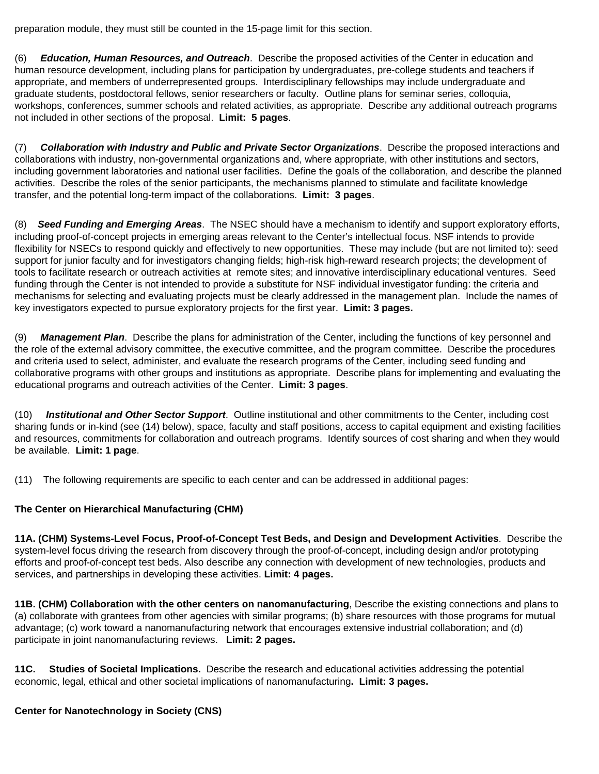preparation module, they must still be counted in the 15-page limit for this section.

(6) *Education, Human Resources, and Outreach*. Describe the proposed activities of the Center in education and human resource development, including plans for participation by undergraduates, pre-college students and teachers if appropriate, and members of underrepresented groups. Interdisciplinary fellowships may include undergraduate and graduate students, postdoctoral fellows, senior researchers or faculty. Outline plans for seminar series, colloquia, workshops, conferences, summer schools and related activities, as appropriate. Describe any additional outreach programs not included in other sections of the proposal. **Limit: 5 pages**.

(7) *Collaboration with Industry and Public and Private Sector Organizations*. Describe the proposed interactions and collaborations with industry, non-governmental organizations and, where appropriate, with other institutions and sectors, including government laboratories and national user facilities. Define the goals of the collaboration, and describe the planned activities. Describe the roles of the senior participants, the mechanisms planned to stimulate and facilitate knowledge transfer, and the potential long-term impact of the collaborations. **Limit: 3 pages**.

(8) *Seed Funding and Emerging Areas*. The NSEC should have a mechanism to identify and support exploratory efforts, including proof-of-concept projects in emerging areas relevant to the Center's intellectual focus. NSF intends to provide flexibility for NSECs to respond quickly and effectively to new opportunities. These may include (but are not limited to): seed support for junior faculty and for investigators changing fields; high-risk high-reward research projects; the development of tools to facilitate research or outreach activities at remote sites; and innovative interdisciplinary educational ventures. Seed funding through the Center is not intended to provide a substitute for NSF individual investigator funding: the criteria and mechanisms for selecting and evaluating projects must be clearly addressed in the management plan. Include the names of key investigators expected to pursue exploratory projects for the first year. **Limit: 3 pages.**

(9) *Management Plan*. Describe the plans for administration of the Center, including the functions of key personnel and the role of the external advisory committee, the executive committee, and the program committee. Describe the procedures and criteria used to select, administer, and evaluate the research programs of the Center, including seed funding and collaborative programs with other groups and institutions as appropriate. Describe plans for implementing and evaluating the educational programs and outreach activities of the Center. **Limit: 3 pages**.

(10) *Institutional and Other Sector Support*. Outline institutional and other commitments to the Center, including cost sharing funds or in-kind (see (14) below), space, faculty and staff positions, access to capital equipment and existing facilities and resources, commitments for collaboration and outreach programs. Identify sources of cost sharing and when they would be available. **Limit: 1 page**.

(11) The following requirements are specific to each center and can be addressed in additional pages:

## **The Center on Hierarchical Manufacturing (CHM)**

**11A. (CHM) Systems-Level Focus, Proof-of-Concept Test Beds, and Design and Development Activities**. Describe the system-level focus driving the research from discovery through the proof-of-concept, including design and/or prototyping efforts and proof-of-concept test beds. Also describe any connection with development of new technologies, products and services, and partnerships in developing these activities. **Limit: 4 pages.**

**11B. (CHM) Collaboration with the other centers on nanomanufacturing**, Describe the existing connections and plans to (a) collaborate with grantees from other agencies with similar programs; (b) share resources with those programs for mutual advantage; (c) work toward a nanomanufacturing network that encourages extensive industrial collaboration; and (d) participate in joint nanomanufacturing reviews. **Limit: 2 pages.**

**11C. Studies of Societal Implications.** Describe the research and educational activities addressing the potential economic, legal, ethical and other societal implications of nanomanufacturing**. Limit: 3 pages.**

## **Center for Nanotechnology in Society (CNS)**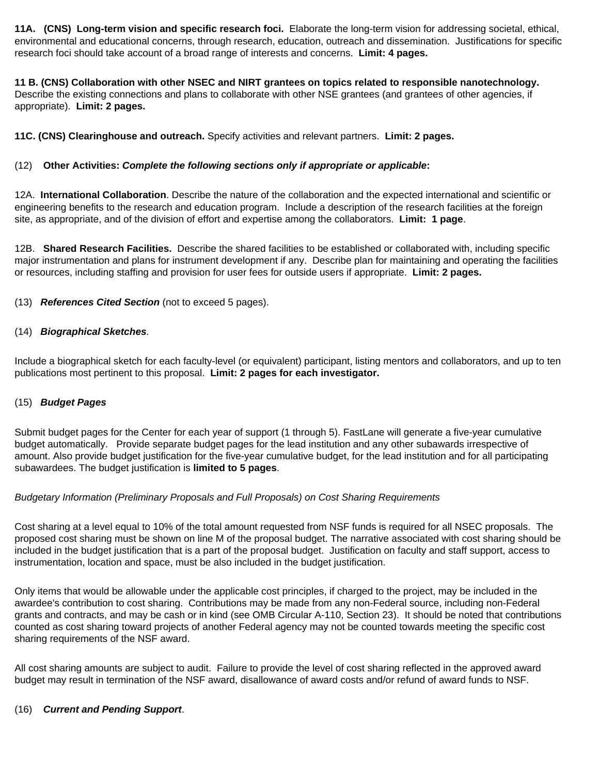**11A. (CNS) Long-term vision and specific research foci.** Elaborate the long-term vision for addressing societal, ethical, environmental and educational concerns, through research, education, outreach and dissemination. Justifications for specific research foci should take account of a broad range of interests and concerns. **Limit: 4 pages.**

**11 B. (CNS) Collaboration with other NSEC and NIRT grantees on topics related to responsible nanotechnology.** Describe the existing connections and plans to collaborate with other NSE grantees (and grantees of other agencies, if appropriate). **Limit: 2 pages.**

**11C. (CNS) Clearinghouse and outreach.** Specify activities and relevant partners. **Limit: 2 pages.**

## (12) **Other Activities:** *Complete the following sections only if appropriate or applicable***:**

12A. **International Collaboration**. Describe the nature of the collaboration and the expected international and scientific or engineering benefits to the research and education program. Include a description of the research facilities at the foreign site, as appropriate, and of the division of effort and expertise among the collaborators. **Limit: 1 page**.

12B. **Shared Research Facilities.** Describe the shared facilities to be established or collaborated with, including specific major instrumentation and plans for instrument development if any. Describe plan for maintaining and operating the facilities or resources, including staffing and provision for user fees for outside users if appropriate. **Limit: 2 pages.**

(13)*References Cited Section* (not to exceed 5 pages).

## (14)*Biographical Sketches.*

Include a biographical sketch for each faculty-level (or equivalent) participant, listing mentors and collaborators, and up to ten publications most pertinent to this proposal. **Limit: 2 pages for each investigator.** 

## (15)*Budget Pages*

Submit budget pages for the Center for each year of support (1 through 5). FastLane will generate a five-year cumulative budget automatically. Provide separate budget pages for the lead institution and any other subawards irrespective of amount. Also provide budget justification for the five-year cumulative budget, for the lead institution and for all participating subawardees. The budget justification is **limited to 5 pages**.

## *Budgetary Information (Preliminary Proposals and Full Proposals) on Cost Sharing Requirements*

Cost sharing at a level equal to 10% of the total amount requested from NSF funds is required for all NSEC proposals. The proposed cost sharing must be shown on line M of the proposal budget. The narrative associated with cost sharing should be included in the budget justification that is a part of the proposal budget. Justification on faculty and staff support, access to instrumentation, location and space, must be also included in the budget justification.

Only items that would be allowable under the applicable cost principles, if charged to the project, may be included in the awardee's contribution to cost sharing. Contributions may be made from any non-Federal source, including non-Federal grants and contracts, and may be cash or in kind (see OMB Circular A-110, Section 23). It should be noted that contributions counted as cost sharing toward projects of another Federal agency may not be counted towards meeting the specific cost sharing requirements of the NSF award.

All cost sharing amounts are subject to audit. Failure to provide the level of cost sharing reflected in the approved award budget may result in termination of the NSF award, disallowance of award costs and/or refund of award funds to NSF.

## (16) *Current and Pending Support*.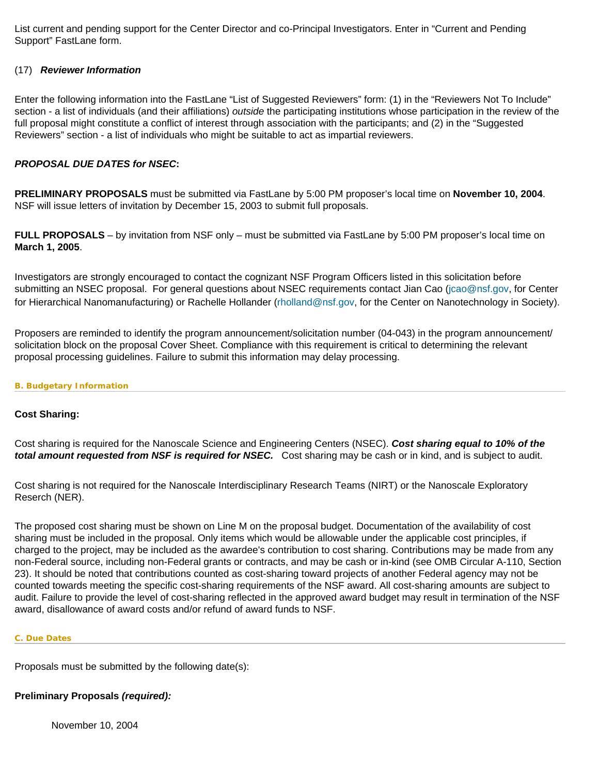List current and pending support for the Center Director and co-Principal Investigators. Enter in "Current and Pending Support" FastLane form.

## (17)*Reviewer Information*

Enter the following information into the FastLane "List of Suggested Reviewers" form: (1) in the "Reviewers Not To Include" section - a list of individuals (and their affiliations) *outside* the participating institutions whose participation in the review of the full proposal might constitute a conflict of interest through association with the participants; and (2) in the "Suggested Reviewers" section - a list of individuals who might be suitable to act as impartial reviewers.

### *PROPOSAL DUE DATES for NSEC***:**

**PRELIMINARY PROPOSALS** must be submitted via FastLane by 5:00 PM proposer's local time on **November 10, 2004**. NSF will issue letters of invitation by December 15, 2003 to submit full proposals.

**FULL PROPOSALS** – by invitation from NSF only – must be submitted via FastLane by 5:00 PM proposer's local time on **March 1, 2005**.

Investigators are strongly encouraged to contact the cognizant NSF Program Officers listed in this solicitation before submitting an NSEC proposal. For general questions about NSEC requirements contact Jian Cao ([jcao@nsf.gov](mailto:jcao@nsf.gov), for Center for Hierarchical Nanomanufacturing) or Rachelle Hollander ([rholland@nsf.gov](mailto:rholland@nsf.gov), for the Center on Nanotechnology in Society).

Proposers are reminded to identify the program announcement/solicitation number (04-043) in the program announcement/ solicitation block on the proposal Cover Sheet. Compliance with this requirement is critical to determining the relevant proposal processing guidelines. Failure to submit this information may delay processing.

#### <span id="page-20-0"></span>**B. Budgetary Information**

## **Cost Sharing:**

Cost sharing is required for the Nanoscale Science and Engineering Centers (NSEC). *Cost sharing equal to 10% of the total amount requested from NSF is required for NSEC.* Cost sharing may be cash or in kind, and is subject to audit.

Cost sharing is not required for the Nanoscale Interdisciplinary Research Teams (NIRT) or the Nanoscale Exploratory Reserch (NER).

The proposed cost sharing must be shown on Line M on the proposal budget. Documentation of the availability of cost sharing must be included in the proposal. Only items which would be allowable under the applicable cost principles, if charged to the project, may be included as the awardee's contribution to cost sharing. Contributions may be made from any non-Federal source, including non-Federal grants or contracts, and may be cash or in-kind (see OMB Circular A-110, Section 23). It should be noted that contributions counted as cost-sharing toward projects of another Federal agency may not be counted towards meeting the specific cost-sharing requirements of the NSF award. All cost-sharing amounts are subject to audit. Failure to provide the level of cost-sharing reflected in the approved award budget may result in termination of the NSF award, disallowance of award costs and/or refund of award funds to NSF.

#### <span id="page-20-1"></span>**C. Due Dates**

Proposals must be submitted by the following date(s):

## **Preliminary Proposals** *(required):*

November 10, 2004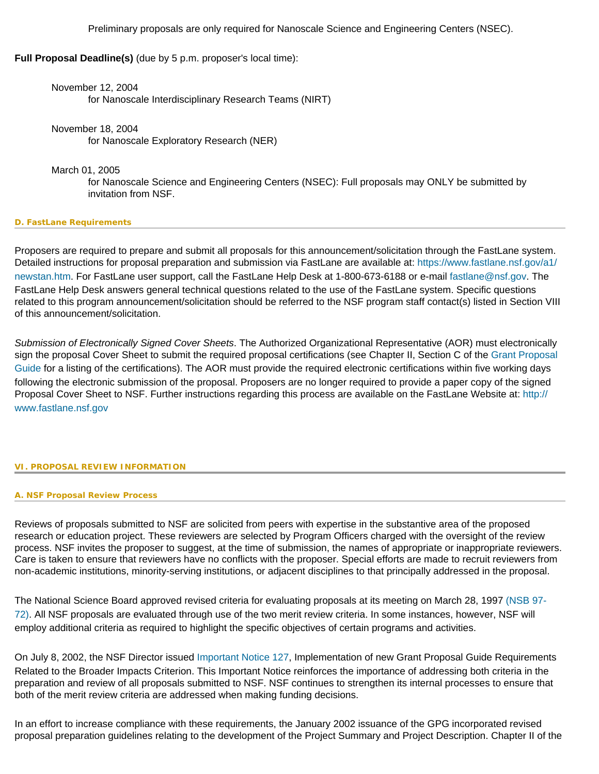Preliminary proposals are only required for Nanoscale Science and Engineering Centers (NSEC).

**Full Proposal Deadline(s)** (due by 5 p.m. proposer's local time):

November 12, 2004 for Nanoscale Interdisciplinary Research Teams (NIRT)

November 18, 2004 for Nanoscale Exploratory Research (NER)

March 01, 2005

for Nanoscale Science and Engineering Centers (NSEC): Full proposals may ONLY be submitted by invitation from NSF.

## <span id="page-21-0"></span>**D. FastLane Requirements**

Proposers are required to prepare and submit all proposals for this announcement/solicitation through the FastLane system. Detailed instructions for proposal preparation and submission via FastLane are available at: [https://www.fastlane.nsf.gov/a1/](https://www.fastlane.nsf.gov/a1/newstan.htm) [newstan.htm](https://www.fastlane.nsf.gov/a1/newstan.htm). For FastLane user support, call the FastLane Help Desk at 1-800-673-6188 or e-mail [fastlane@nsf.gov](mailto:fastlane@nsf.gov). The FastLane Help Desk answers general technical questions related to the use of the FastLane system. Specific questions related to this program announcement/solicitation should be referred to the NSF program staff contact(s) listed in Section VIII of this announcement/solicitation.

*Submission of Electronically Signed Cover Sheets*. The Authorized Organizational Representative (AOR) must electronically sign the proposal Cover Sheet to submit the required proposal certifications (see Chapter II, Section C of the [Grant Proposal](http://www.nsf.gov/pubsys/ods/getpub.cfm?gpg) [Guide](http://www.nsf.gov/pubsys/ods/getpub.cfm?gpg) for a listing of the certifications). The AOR must provide the required electronic certifications within five working days following the electronic submission of the proposal. Proposers are no longer required to provide a paper copy of the signed Proposal Cover Sheet to NSF. Further instructions regarding this process are available on the FastLane Website at: [http://](http://www.fastlane.nsf.gov/) [www.fastlane.nsf.gov](http://www.fastlane.nsf.gov/)

## <span id="page-21-2"></span><span id="page-21-1"></span>**VI. PROPOSAL REVIEW INFORMATION**

**A. NSF Proposal Review Process**

Reviews of proposals submitted to NSF are solicited from peers with expertise in the substantive area of the proposed research or education project. These reviewers are selected by Program Officers charged with the oversight of the review process. NSF invites the proposer to suggest, at the time of submission, the names of appropriate or inappropriate reviewers. Care is taken to ensure that reviewers have no conflicts with the proposer. Special efforts are made to recruit reviewers from non-academic institutions, minority-serving institutions, or adjacent disciplines to that principally addressed in the proposal.

The National Science Board approved revised criteria for evaluating proposals at its meeting on March 28, 1997 [\(NSB 97-](http://www.nsf.gov/pubsys/ods/getpub.cfm?nsb9772) [72\).](http://www.nsf.gov/pubsys/ods/getpub.cfm?nsb9772) All NSF proposals are evaluated through use of the two merit review criteria. In some instances, however, NSF will employ additional criteria as required to highlight the specific objectives of certain programs and activities.

On July 8, 2002, the NSF Director issued [Important Notice 127](http://www.nsf.gov/pubsys/ods/getpub.cfm?iin127), Implementation of new Grant Proposal Guide Requirements Related to the Broader Impacts Criterion. This Important Notice reinforces the importance of addressing both criteria in the preparation and review of all proposals submitted to NSF. NSF continues to strengthen its internal processes to ensure that both of the merit review criteria are addressed when making funding decisions.

In an effort to increase compliance with these requirements, the January 2002 issuance of the GPG incorporated revised proposal preparation guidelines relating to the development of the Project Summary and Project Description. Chapter II of the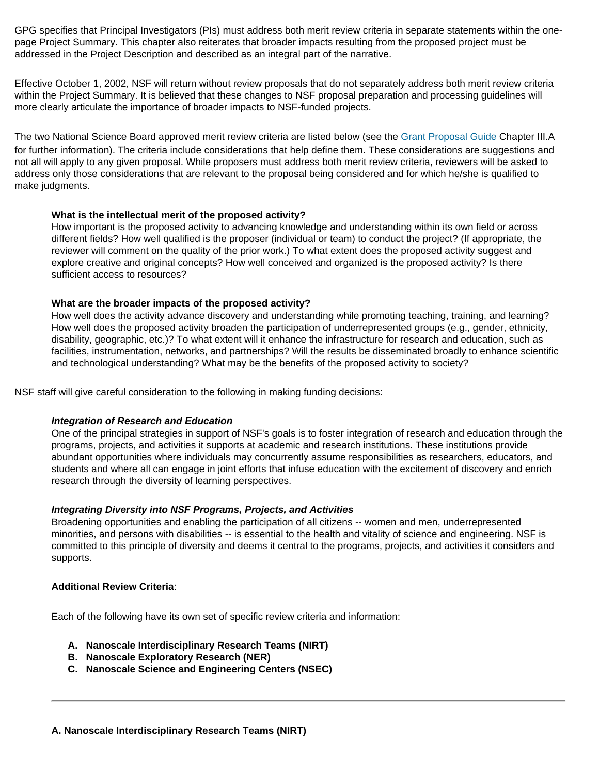GPG specifies that Principal Investigators (PIs) must address both merit review criteria in separate statements within the onepage Project Summary. This chapter also reiterates that broader impacts resulting from the proposed project must be addressed in the Project Description and described as an integral part of the narrative.

Effective October 1, 2002, NSF will return without review proposals that do not separately address both merit review criteria within the Project Summary. It is believed that these changes to NSF proposal preparation and processing guidelines will more clearly articulate the importance of broader impacts to NSF-funded projects.

The two National Science Board approved merit review criteria are listed below (see the [Grant Proposal Guide](http://www.nsf.gov/pubsys/ods/getpub.cfm?gpg) Chapter III.A for further information). The criteria include considerations that help define them. These considerations are suggestions and not all will apply to any given proposal. While proposers must address both merit review criteria, reviewers will be asked to address only those considerations that are relevant to the proposal being considered and for which he/she is qualified to make judgments.

## **What is the intellectual merit of the proposed activity?**

How important is the proposed activity to advancing knowledge and understanding within its own field or across different fields? How well qualified is the proposer (individual or team) to conduct the project? (If appropriate, the reviewer will comment on the quality of the prior work.) To what extent does the proposed activity suggest and explore creative and original concepts? How well conceived and organized is the proposed activity? Is there sufficient access to resources?

### **What are the broader impacts of the proposed activity?**

How well does the activity advance discovery and understanding while promoting teaching, training, and learning? How well does the proposed activity broaden the participation of underrepresented groups (e.g., gender, ethnicity, disability, geographic, etc.)? To what extent will it enhance the infrastructure for research and education, such as facilities, instrumentation, networks, and partnerships? Will the results be disseminated broadly to enhance scientific and technological understanding? What may be the benefits of the proposed activity to society?

NSF staff will give careful consideration to the following in making funding decisions:

#### *Integration of Research and Education*

One of the principal strategies in support of NSF's goals is to foster integration of research and education through the programs, projects, and activities it supports at academic and research institutions. These institutions provide abundant opportunities where individuals may concurrently assume responsibilities as researchers, educators, and students and where all can engage in joint efforts that infuse education with the excitement of discovery and enrich research through the diversity of learning perspectives.

#### *Integrating Diversity into NSF Programs, Projects, and Activities*

Broadening opportunities and enabling the participation of all citizens -- women and men, underrepresented minorities, and persons with disabilities -- is essential to the health and vitality of science and engineering. NSF is committed to this principle of diversity and deems it central to the programs, projects, and activities it considers and supports.

#### **Additional Review Criteria**:

Each of the following have its own set of specific review criteria and information:

- **A. Nanoscale Interdisciplinary Research Teams (NIRT)**
- **B. Nanoscale Exploratory Research (NER)**
- **C. Nanoscale Science and Engineering Centers (NSEC)**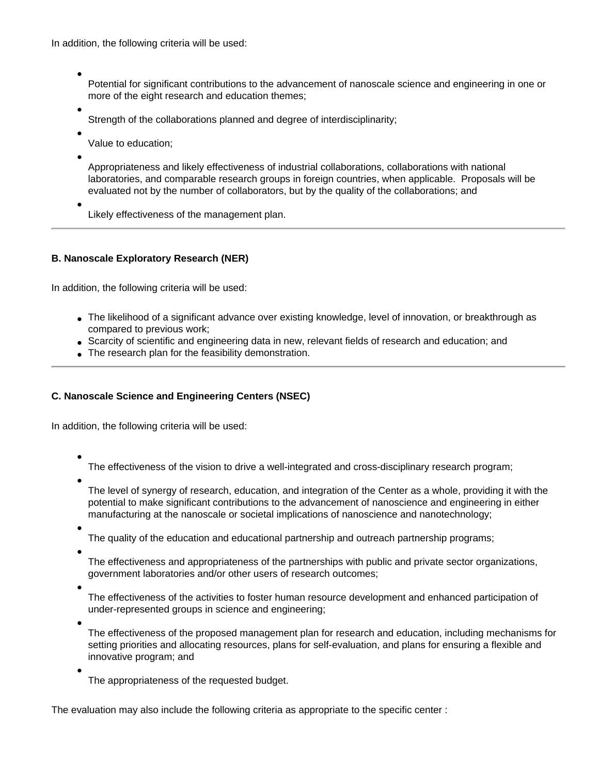In addition, the following criteria will be used:

●

Potential for significant contributions to the advancement of nanoscale science and engineering in one or more of the eight research and education themes;

● Strength of the collaborations planned and degree of interdisciplinarity;

● Value to education;

●

Appropriateness and likely effectiveness of industrial collaborations, collaborations with national laboratories, and comparable research groups in foreign countries, when applicable. Proposals will be evaluated not by the number of collaborators, but by the quality of the collaborations; and

● Likely effectiveness of the management plan.

## **B. Nanoscale Exploratory Research (NER)**

In addition, the following criteria will be used:

- The likelihood of a significant advance over existing knowledge, level of innovation, or breakthrough as compared to previous work;
- Scarcity of scientific and engineering data in new, relevant fields of research and education; and
- The research plan for the feasibility demonstration.

## **C. Nanoscale Science and Engineering Centers (NSEC)**

In addition, the following criteria will be used:

●

The effectiveness of the vision to drive a well-integrated and cross-disciplinary research program;

●

The level of synergy of research, education, and integration of the Center as a whole, providing it with the potential to make significant contributions to the advancement of nanoscience and engineering in either manufacturing at the nanoscale or societal implications of nanoscience and nanotechnology;

●

The quality of the education and educational partnership and outreach partnership programs;

●

The effectiveness and appropriateness of the partnerships with public and private sector organizations, government laboratories and/or other users of research outcomes;

●

The effectiveness of the activities to foster human resource development and enhanced participation of under-represented groups in science and engineering;

●

●

The effectiveness of the proposed management plan for research and education, including mechanisms for setting priorities and allocating resources, plans for self-evaluation, and plans for ensuring a flexible and innovative program; and

The appropriateness of the requested budget.

The evaluation may also include the following criteria as appropriate to the specific center :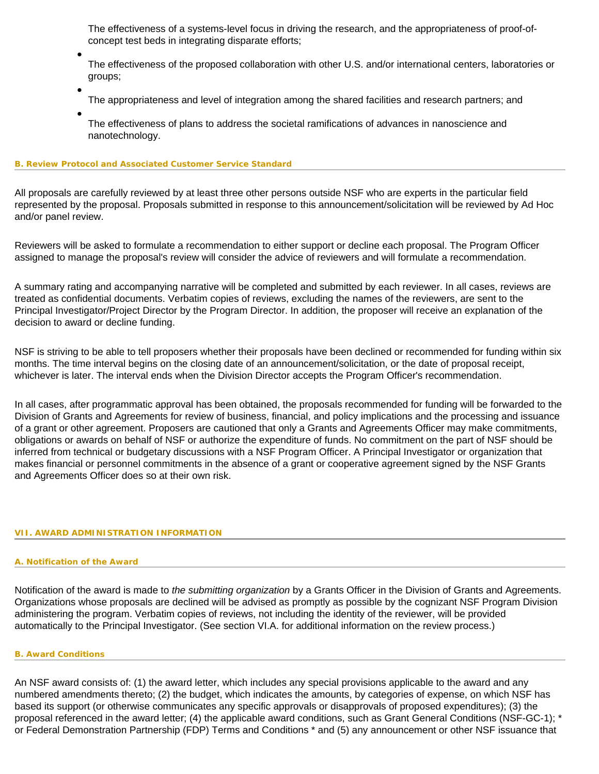The effectiveness of a systems-level focus in driving the research, and the appropriateness of proof-ofconcept test beds in integrating disparate efforts;

The effectiveness of the proposed collaboration with other U.S. and/or international centers, laboratories or groups;

- The appropriateness and level of integration among the shared facilities and research partners; and ●
- The effectiveness of plans to address the societal ramifications of advances in nanoscience and nanotechnology.

#### <span id="page-24-0"></span>**B. Review Protocol and Associated Customer Service Standard**

●

All proposals are carefully reviewed by at least three other persons outside NSF who are experts in the particular field represented by the proposal. Proposals submitted in response to this announcement/solicitation will be reviewed by Ad Hoc and/or panel review.

Reviewers will be asked to formulate a recommendation to either support or decline each proposal. The Program Officer assigned to manage the proposal's review will consider the advice of reviewers and will formulate a recommendation.

A summary rating and accompanying narrative will be completed and submitted by each reviewer. In all cases, reviews are treated as confidential documents. Verbatim copies of reviews, excluding the names of the reviewers, are sent to the Principal Investigator/Project Director by the Program Director. In addition, the proposer will receive an explanation of the decision to award or decline funding.

NSF is striving to be able to tell proposers whether their proposals have been declined or recommended for funding within six months. The time interval begins on the closing date of an announcement/solicitation, or the date of proposal receipt, whichever is later. The interval ends when the Division Director accepts the Program Officer's recommendation.

In all cases, after programmatic approval has been obtained, the proposals recommended for funding will be forwarded to the Division of Grants and Agreements for review of business, financial, and policy implications and the processing and issuance of a grant or other agreement. Proposers are cautioned that only a Grants and Agreements Officer may make commitments, obligations or awards on behalf of NSF or authorize the expenditure of funds. No commitment on the part of NSF should be inferred from technical or budgetary discussions with a NSF Program Officer. A Principal Investigator or organization that makes financial or personnel commitments in the absence of a grant or cooperative agreement signed by the NSF Grants and Agreements Officer does so at their own risk.

#### <span id="page-24-2"></span><span id="page-24-1"></span>**VII. AWARD ADMINISTRATION INFORMATION**

#### **A. Notification of the Award**

Notification of the award is made to *the submitting organization* by a Grants Officer in the Division of Grants and Agreements. Organizations whose proposals are declined will be advised as promptly as possible by the cognizant NSF Program Division administering the program. Verbatim copies of reviews, not including the identity of the reviewer, will be provided automatically to the Principal Investigator. (See section VI.A. for additional information on the review process.)

#### <span id="page-24-3"></span>**B. Award Conditions**

An NSF award consists of: (1) the award letter, which includes any special provisions applicable to the award and any numbered amendments thereto; (2) the budget, which indicates the amounts, by categories of expense, on which NSF has based its support (or otherwise communicates any specific approvals or disapprovals of proposed expenditures); (3) the proposal referenced in the award letter; (4) the applicable award conditions, such as Grant General Conditions (NSF-GC-1); \* or Federal Demonstration Partnership (FDP) Terms and Conditions \* and (5) any announcement or other NSF issuance that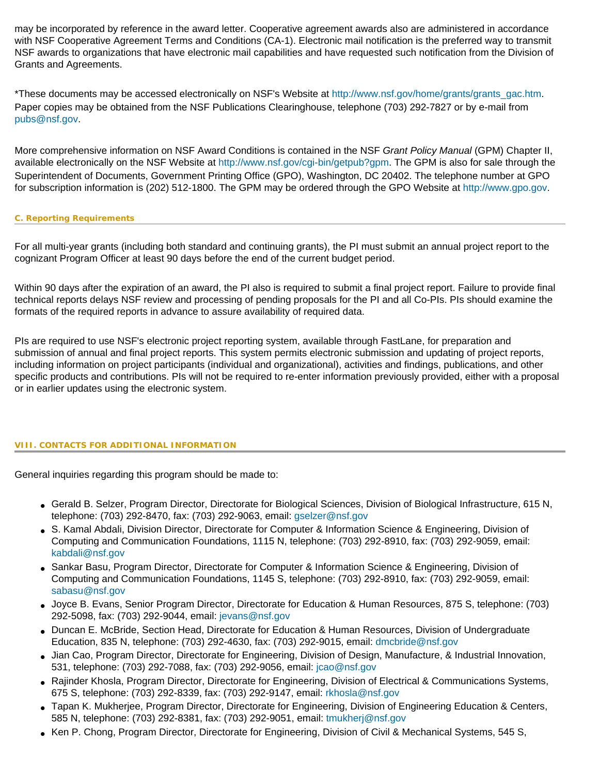may be incorporated by reference in the award letter. Cooperative agreement awards also are administered in accordance with NSF Cooperative Agreement Terms and Conditions (CA-1). Electronic mail notification is the preferred way to transmit NSF awards to organizations that have electronic mail capabilities and have requested such notification from the Division of Grants and Agreements.

\*These documents may be accessed electronically on NSF's Website at [http://www.nsf.gov/home/grants/grants\\_gac.htm](http://www.nsf.gov/home/grants/grants_gac.htm). Paper copies may be obtained from the NSF Publications Clearinghouse, telephone (703) 292-7827 or by e-mail from [pubs@nsf.gov.](mailto:pubs@nsf.gov)

More comprehensive information on NSF Award Conditions is contained in the NSF *Grant Policy Manual* (GPM) Chapter II, available electronically on the NSF Website at [http://www.nsf.gov/cgi-bin/getpub?gpm.](http://www.nsf.gov/cgi-bin/getpub?gpm) The GPM is also for sale through the Superintendent of Documents, Government Printing Office (GPO), Washington, DC 20402. The telephone number at GPO for subscription information is (202) 512-1800. The GPM may be ordered through the GPO Website at [http://www.gpo.gov](http://www.gpo.gov/).

#### <span id="page-25-0"></span>**C. Reporting Requirements**

For all multi-year grants (including both standard and continuing grants), the PI must submit an annual project report to the cognizant Program Officer at least 90 days before the end of the current budget period.

Within 90 days after the expiration of an award, the PI also is required to submit a final project report. Failure to provide final technical reports delays NSF review and processing of pending proposals for the PI and all Co-PIs. PIs should examine the formats of the required reports in advance to assure availability of required data.

PIs are required to use NSF's electronic project reporting system, available through FastLane, for preparation and submission of annual and final project reports. This system permits electronic submission and updating of project reports, including information on project participants (individual and organizational), activities and findings, publications, and other specific products and contributions. PIs will not be required to re-enter information previously provided, either with a proposal or in earlier updates using the electronic system.

#### <span id="page-25-1"></span>**VIII. CONTACTS FOR ADDITIONAL INFORMATION**

General inquiries regarding this program should be made to:

- Gerald B. Selzer, Program Director, Directorate for Biological Sciences, Division of Biological Infrastructure, 615 N, telephone: (703) 292-8470, fax: (703) 292-9063, email: [gselzer@nsf.gov](mailto:gselzer@nsf.gov)
- S. Kamal Abdali, Division Director, Directorate for Computer & Information Science & Engineering, Division of Computing and Communication Foundations, 1115 N, telephone: (703) 292-8910, fax: (703) 292-9059, email: [kabdali@nsf.gov](mailto:kabdali@nsf.gov)
- Sankar Basu, Program Director, Directorate for Computer & Information Science & Engineering, Division of Computing and Communication Foundations, 1145 S, telephone: (703) 292-8910, fax: (703) 292-9059, email: [sabasu@nsf.gov](mailto:sabasu@nsf.gov)
- Joyce B. Evans, Senior Program Director, Directorate for Education & Human Resources, 875 S, telephone: (703) 292-5098, fax: (703) 292-9044, email: [jevans@nsf.gov](mailto:jevans@nsf.gov)
- Duncan E. McBride, Section Head, Directorate for Education & Human Resources, Division of Undergraduate Education, 835 N, telephone: (703) 292-4630, fax: (703) 292-9015, email: [dmcbride@nsf.gov](mailto:dmcbride@nsf.gov)
- Jian Cao, Program Director, Directorate for Engineering, Division of Design, Manufacture, & Industrial Innovation, 531, telephone: (703) 292-7088, fax: (703) 292-9056, email: [jcao@nsf.gov](mailto:jcao@nsf.gov)
- Rajinder Khosla, Program Director, Directorate for Engineering, Division of Electrical & Communications Systems, 675 S, telephone: (703) 292-8339, fax: (703) 292-9147, email: [rkhosla@nsf.gov](mailto:rkhosla@nsf.gov)
- Tapan K. Mukherjee, Program Director, Directorate for Engineering, Division of Engineering Education & Centers, 585 N, telephone: (703) 292-8381, fax: (703) 292-9051, email: [tmukherj@nsf.gov](mailto:tmukherj@nsf.gov)
- Ken P. Chong, Program Director, Directorate for Engineering, Division of Civil & Mechanical Systems, 545 S,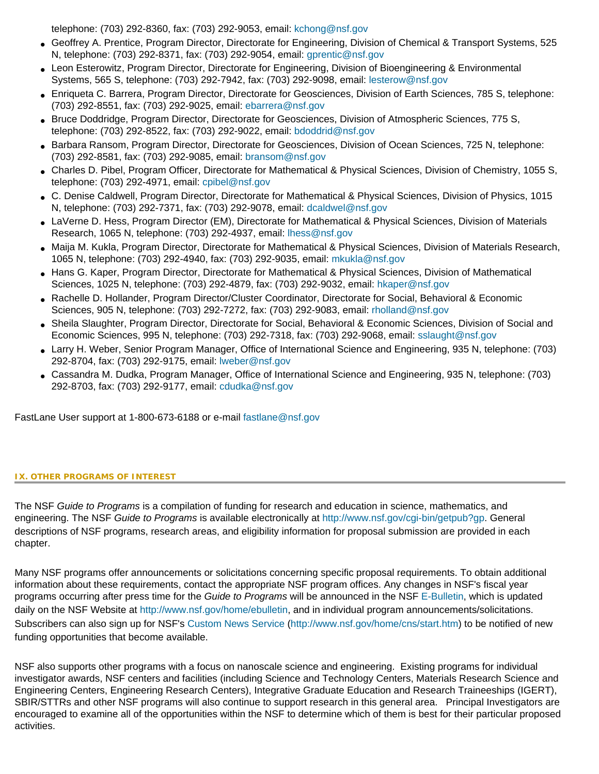telephone: (703) 292-8360, fax: (703) 292-9053, email: [kchong@nsf.gov](mailto:kchong@nsf.gov)

- Geoffrey A. Prentice, Program Director, Directorate for Engineering, Division of Chemical & Transport Systems, 525 N, telephone: (703) 292-8371, fax: (703) 292-9054, email: [gprentic@nsf.gov](mailto:gprentic@nsf.gov)
- Leon Esterowitz, Program Director, Directorate for Engineering, Division of Bioengineering & Environmental Systems, 565 S, telephone: (703) 292-7942, fax: (703) 292-9098, email: [lesterow@nsf.gov](mailto:lesterow@nsf.gov)
- Enriqueta C. Barrera, Program Director, Directorate for Geosciences, Division of Earth Sciences, 785 S, telephone: (703) 292-8551, fax: (703) 292-9025, email: [ebarrera@nsf.gov](mailto:ebarrera@nsf.gov)
- Bruce Doddridge, Program Director, Directorate for Geosciences, Division of Atmospheric Sciences, 775 S, telephone: (703) 292-8522, fax: (703) 292-9022, email: [bdoddrid@nsf.gov](mailto:bdoddrid@nsf.gov)
- Barbara Ransom, Program Director, Directorate for Geosciences, Division of Ocean Sciences, 725 N, telephone: (703) 292-8581, fax: (703) 292-9085, email: [bransom@nsf.gov](mailto:bransom@nsf.gov)
- Charles D. Pibel, Program Officer, Directorate for Mathematical & Physical Sciences, Division of Chemistry, 1055 S, telephone: (703) 292-4971, email: [cpibel@nsf.gov](mailto:cpibel@nsf.gov)
- C. Denise Caldwell, Program Director, Directorate for Mathematical & Physical Sciences, Division of Physics, 1015 N, telephone: (703) 292-7371, fax: (703) 292-9078, email: [dcaldwel@nsf.gov](mailto:dcaldwel@nsf.gov)
- LaVerne D. Hess, Program Director (EM), Directorate for Mathematical & Physical Sciences, Division of Materials Research, 1065 N, telephone: (703) 292-4937, email: [lhess@nsf.gov](mailto:lhess@nsf.gov)
- Maija M. Kukla, Program Director, Directorate for Mathematical & Physical Sciences, Division of Materials Research, 1065 N, telephone: (703) 292-4940, fax: (703) 292-9035, email: [mkukla@nsf.gov](mailto:mkukla@nsf.gov)
- Hans G. Kaper, Program Director, Directorate for Mathematical & Physical Sciences, Division of Mathematical Sciences, 1025 N, telephone: (703) 292-4879, fax: (703) 292-9032, email: [hkaper@nsf.gov](mailto:hkaper@nsf.gov)
- Rachelle D. Hollander, Program Director/Cluster Coordinator, Directorate for Social, Behavioral & Economic Sciences, 905 N, telephone: (703) 292-7272, fax: (703) 292-9083, email: [rholland@nsf.gov](mailto:rholland@nsf.gov)
- Sheila Slaughter, Program Director, Directorate for Social, Behavioral & Economic Sciences, Division of Social and Economic Sciences, 995 N, telephone: (703) 292-7318, fax: (703) 292-9068, email: [sslaught@nsf.gov](mailto:sslaught@nsf.gov)
- Larry H. Weber, Senior Program Manager, Office of International Science and Engineering, 935 N, telephone: (703) 292-8704, fax: (703) 292-9175, email: [lweber@nsf.gov](mailto:lweber@nsf.gov)
- Cassandra M. Dudka, Program Manager, Office of International Science and Engineering, 935 N, telephone: (703) 292-8703, fax: (703) 292-9177, email: [cdudka@nsf.gov](mailto:cdudka@nsf.gov)

FastLane User support at 1-800-673-6188 or e-mail [fastlane@nsf.gov](mailto:fastlane@nsf.gov)

#### <span id="page-26-0"></span>**IX. OTHER PROGRAMS OF INTEREST**

The NSF *Guide to Programs* is a compilation of funding for research and education in science, mathematics, and engineering. The NSF *Guide to Programs* is available electronically at <http://www.nsf.gov/cgi-bin/getpub?gp>. General descriptions of NSF programs, research areas, and eligibility information for proposal submission are provided in each chapter.

Many NSF programs offer announcements or solicitations concerning specific proposal requirements. To obtain additional information about these requirements, contact the appropriate NSF program offices. Any changes in NSF's fiscal year programs occurring after press time for the *Guide to Programs* will be announced in the NSF [E-Bulletin](http://www.nsf.gov/home/ebulletin), which is updated daily on the NSF Website at<http://www.nsf.gov/home/ebulletin>, and in individual program announcements/solicitations. Subscribers can also sign up for NSF's [Custom News Service](http://www.nsf.gov/home/cns/start.htm) [\(http://www.nsf.gov/home/cns/start.htm\)](http://www.nsf.gov/home/cns/start.htm) to be notified of new funding opportunities that become available.

NSF also supports other programs with a focus on nanoscale science and engineering. Existing programs for individual investigator awards, NSF centers and facilities (including Science and Technology Centers, Materials Research Science and Engineering Centers, Engineering Research Centers), Integrative Graduate Education and Research Traineeships (IGERT), SBIR/STTRs and other NSF programs will also continue to support research in this general area. Principal Investigators are encouraged to examine all of the opportunities within the NSF to determine which of them is best for their particular proposed activities.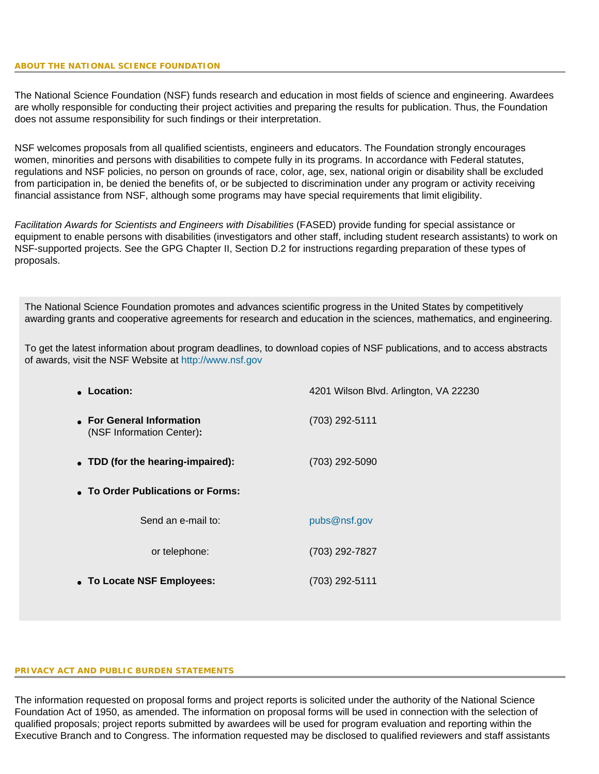The National Science Foundation (NSF) funds research and education in most fields of science and engineering. Awardees are wholly responsible for conducting their project activities and preparing the results for publication. Thus, the Foundation does not assume responsibility for such findings or their interpretation.

NSF welcomes proposals from all qualified scientists, engineers and educators. The Foundation strongly encourages women, minorities and persons with disabilities to compete fully in its programs. In accordance with Federal statutes, regulations and NSF policies, no person on grounds of race, color, age, sex, national origin or disability shall be excluded from participation in, be denied the benefits of, or be subjected to discrimination under any program or activity receiving financial assistance from NSF, although some programs may have special requirements that limit eligibility.

*Facilitation Awards for Scientists and Engineers with Disabilities* (FASED) provide funding for special assistance or equipment to enable persons with disabilities (investigators and other staff, including student research assistants) to work on NSF-supported projects. See the GPG Chapter II, Section D.2 for instructions regarding preparation of these types of proposals.

The National Science Foundation promotes and advances scientific progress in the United States by competitively awarding grants and cooperative agreements for research and education in the sciences, mathematics, and engineering.

To get the latest information about program deadlines, to download copies of NSF publications, and to access abstracts of awards, visit the NSF Website at [http://www.nsf.gov](http://www.nsf.gov/)

| • Location:                                            | 4201 Wilson Blvd. Arlington, VA 22230 |
|--------------------------------------------------------|---------------------------------------|
| • For General Information<br>(NSF Information Center): | (703) 292-5111                        |
| • TDD (for the hearing-impaired):                      | (703) 292-5090                        |
| • To Order Publications or Forms:                      |                                       |
| Send an e-mail to:                                     | pubs@nsf.gov                          |
| or telephone:                                          | (703) 292-7827                        |
| • To Locate NSF Employees:                             | (703) 292-5111                        |

#### **PRIVACY ACT AND PUBLIC BURDEN STATEMENTS**

The information requested on proposal forms and project reports is solicited under the authority of the National Science Foundation Act of 1950, as amended. The information on proposal forms will be used in connection with the selection of qualified proposals; project reports submitted by awardees will be used for program evaluation and reporting within the Executive Branch and to Congress. The information requested may be disclosed to qualified reviewers and staff assistants